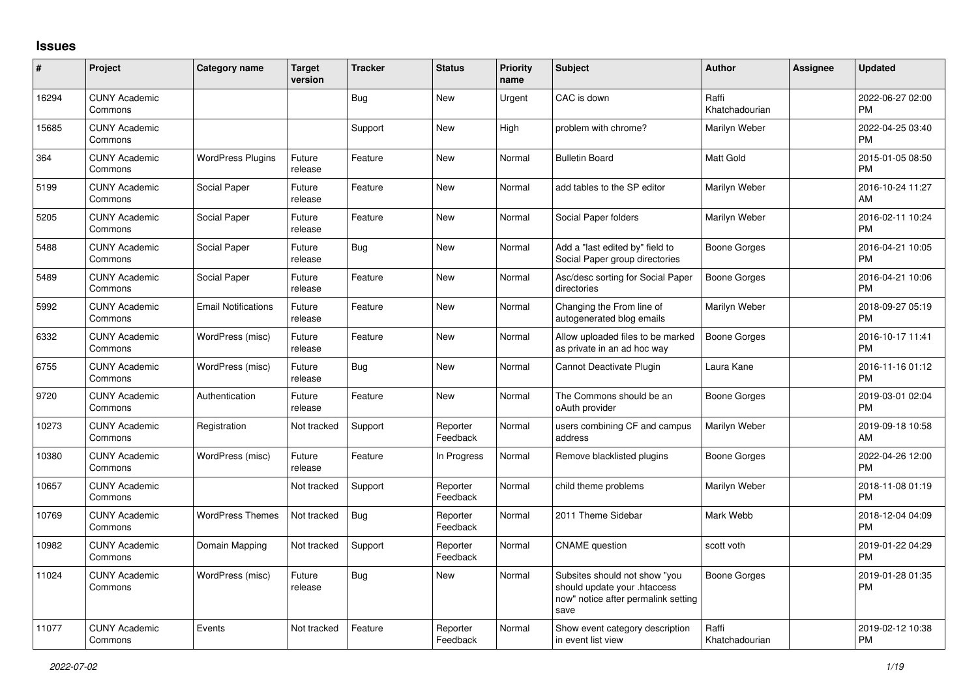## **Issues**

| #     | Project                         | <b>Category name</b>       | <b>Target</b><br>version | <b>Tracker</b> | <b>Status</b>        | <b>Priority</b><br>name | <b>Subject</b>                                                                                               | <b>Author</b>           | <b>Assignee</b> | <b>Updated</b>                |
|-------|---------------------------------|----------------------------|--------------------------|----------------|----------------------|-------------------------|--------------------------------------------------------------------------------------------------------------|-------------------------|-----------------|-------------------------------|
| 16294 | <b>CUNY Academic</b><br>Commons |                            |                          | Bug            | New                  | Urgent                  | CAC is down                                                                                                  | Raffi<br>Khatchadourian |                 | 2022-06-27 02:00<br><b>PM</b> |
| 15685 | <b>CUNY Academic</b><br>Commons |                            |                          | Support        | New                  | High                    | problem with chrome?                                                                                         | Marilyn Weber           |                 | 2022-04-25 03:40<br><b>PM</b> |
| 364   | <b>CUNY Academic</b><br>Commons | <b>WordPress Plugins</b>   | Future<br>release        | Feature        | <b>New</b>           | Normal                  | <b>Bulletin Board</b>                                                                                        | <b>Matt Gold</b>        |                 | 2015-01-05 08:50<br><b>PM</b> |
| 5199  | <b>CUNY Academic</b><br>Commons | Social Paper               | Future<br>release        | Feature        | <b>New</b>           | Normal                  | add tables to the SP editor                                                                                  | Marilyn Weber           |                 | 2016-10-24 11:27<br>AM        |
| 5205  | <b>CUNY Academic</b><br>Commons | Social Paper               | Future<br>release        | Feature        | <b>New</b>           | Normal                  | Social Paper folders                                                                                         | Marilyn Weber           |                 | 2016-02-11 10:24<br><b>PM</b> |
| 5488  | <b>CUNY Academic</b><br>Commons | Social Paper               | Future<br>release        | Bug            | <b>New</b>           | Normal                  | Add a "last edited by" field to<br>Social Paper group directories                                            | Boone Gorges            |                 | 2016-04-21 10:05<br><b>PM</b> |
| 5489  | <b>CUNY Academic</b><br>Commons | Social Paper               | Future<br>release        | Feature        | New                  | Normal                  | Asc/desc sorting for Social Paper<br>directories                                                             | Boone Gorges            |                 | 2016-04-21 10:06<br><b>PM</b> |
| 5992  | <b>CUNY Academic</b><br>Commons | <b>Email Notifications</b> | Future<br>release        | Feature        | New                  | Normal                  | Changing the From line of<br>autogenerated blog emails                                                       | Marilyn Weber           |                 | 2018-09-27 05:19<br><b>PM</b> |
| 6332  | <b>CUNY Academic</b><br>Commons | WordPress (misc)           | Future<br>release        | Feature        | <b>New</b>           | Normal                  | Allow uploaded files to be marked<br>as private in an ad hoc way                                             | Boone Gorges            |                 | 2016-10-17 11:41<br><b>PM</b> |
| 6755  | <b>CUNY Academic</b><br>Commons | WordPress (misc)           | Future<br>release        | Bug            | <b>New</b>           | Normal                  | Cannot Deactivate Plugin                                                                                     | Laura Kane              |                 | 2016-11-16 01:12<br><b>PM</b> |
| 9720  | <b>CUNY Academic</b><br>Commons | Authentication             | Future<br>release        | Feature        | New                  | Normal                  | The Commons should be an<br>oAuth provider                                                                   | Boone Gorges            |                 | 2019-03-01 02:04<br><b>PM</b> |
| 10273 | <b>CUNY Academic</b><br>Commons | Registration               | Not tracked              | Support        | Reporter<br>Feedback | Normal                  | users combining CF and campus<br>address                                                                     | Marilyn Weber           |                 | 2019-09-18 10:58<br>AM        |
| 10380 | <b>CUNY Academic</b><br>Commons | WordPress (misc)           | Future<br>release        | Feature        | In Progress          | Normal                  | Remove blacklisted plugins                                                                                   | Boone Gorges            |                 | 2022-04-26 12:00<br><b>PM</b> |
| 10657 | <b>CUNY Academic</b><br>Commons |                            | Not tracked              | Support        | Reporter<br>Feedback | Normal                  | child theme problems                                                                                         | Marilyn Weber           |                 | 2018-11-08 01:19<br><b>PM</b> |
| 10769 | <b>CUNY Academic</b><br>Commons | <b>WordPress Themes</b>    | Not tracked              | Bug            | Reporter<br>Feedback | Normal                  | 2011 Theme Sidebar                                                                                           | Mark Webb               |                 | 2018-12-04 04:09<br><b>PM</b> |
| 10982 | <b>CUNY Academic</b><br>Commons | Domain Mapping             | Not tracked              | Support        | Reporter<br>Feedback | Normal                  | <b>CNAME</b> question                                                                                        | scott voth              |                 | 2019-01-22 04:29<br><b>PM</b> |
| 11024 | <b>CUNY Academic</b><br>Commons | WordPress (misc)           | Future<br>release        | Bug            | New                  | Normal                  | Subsites should not show "you<br>should update your .htaccess<br>now" notice after permalink setting<br>save | Boone Gorges            |                 | 2019-01-28 01:35<br>PM        |
| 11077 | <b>CUNY Academic</b><br>Commons | Events                     | Not tracked              | Feature        | Reporter<br>Feedback | Normal                  | Show event category description<br>in event list view                                                        | Raffi<br>Khatchadourian |                 | 2019-02-12 10:38<br>PM        |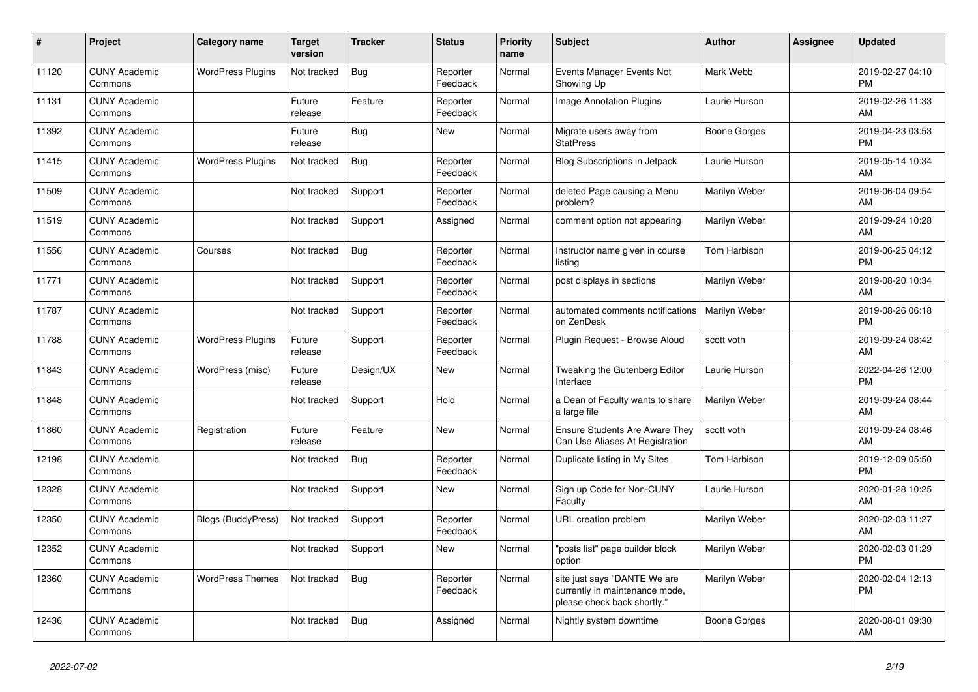| #     | <b>Project</b>                  | <b>Category name</b>     | <b>Target</b><br>version | <b>Tracker</b> | <b>Status</b>        | <b>Priority</b><br>name | <b>Subject</b>                                                                                | <b>Author</b> | <b>Assignee</b> | <b>Updated</b>                |
|-------|---------------------------------|--------------------------|--------------------------|----------------|----------------------|-------------------------|-----------------------------------------------------------------------------------------------|---------------|-----------------|-------------------------------|
| 11120 | <b>CUNY Academic</b><br>Commons | <b>WordPress Plugins</b> | Not tracked              | Bug            | Reporter<br>Feedback | Normal                  | Events Manager Events Not<br>Showing Up                                                       | Mark Webb     |                 | 2019-02-27 04:10<br><b>PM</b> |
| 11131 | <b>CUNY Academic</b><br>Commons |                          | Future<br>release        | Feature        | Reporter<br>Feedback | Normal                  | <b>Image Annotation Plugins</b>                                                               | Laurie Hurson |                 | 2019-02-26 11:33<br>AM        |
| 11392 | <b>CUNY Academic</b><br>Commons |                          | Future<br>release        | Bug            | New                  | Normal                  | Migrate users away from<br><b>StatPress</b>                                                   | Boone Gorges  |                 | 2019-04-23 03:53<br><b>PM</b> |
| 11415 | <b>CUNY Academic</b><br>Commons | <b>WordPress Plugins</b> | Not tracked              | <b>Bug</b>     | Reporter<br>Feedback | Normal                  | <b>Blog Subscriptions in Jetpack</b>                                                          | Laurie Hurson |                 | 2019-05-14 10:34<br>AM        |
| 11509 | <b>CUNY Academic</b><br>Commons |                          | Not tracked              | Support        | Reporter<br>Feedback | Normal                  | deleted Page causing a Menu<br>problem?                                                       | Marilyn Weber |                 | 2019-06-04 09:54<br>AM        |
| 11519 | <b>CUNY Academic</b><br>Commons |                          | Not tracked              | Support        | Assigned             | Normal                  | comment option not appearing                                                                  | Marilyn Weber |                 | 2019-09-24 10:28<br>AM        |
| 11556 | <b>CUNY Academic</b><br>Commons | Courses                  | Not tracked              | <b>Bug</b>     | Reporter<br>Feedback | Normal                  | Instructor name given in course<br>listing                                                    | Tom Harbison  |                 | 2019-06-25 04:12<br><b>PM</b> |
| 11771 | <b>CUNY Academic</b><br>Commons |                          | Not tracked              | Support        | Reporter<br>Feedback | Normal                  | post displays in sections                                                                     | Marilyn Weber |                 | 2019-08-20 10:34<br>AM        |
| 11787 | <b>CUNY Academic</b><br>Commons |                          | Not tracked              | Support        | Reporter<br>Feedback | Normal                  | automated comments notifications<br>on ZenDesk                                                | Marilyn Weber |                 | 2019-08-26 06:18<br><b>PM</b> |
| 11788 | <b>CUNY Academic</b><br>Commons | <b>WordPress Plugins</b> | Future<br>release        | Support        | Reporter<br>Feedback | Normal                  | Plugin Request - Browse Aloud                                                                 | scott voth    |                 | 2019-09-24 08:42<br>AM        |
| 11843 | <b>CUNY Academic</b><br>Commons | WordPress (misc)         | Future<br>release        | Design/UX      | <b>New</b>           | Normal                  | Tweaking the Gutenberg Editor<br>Interface                                                    | Laurie Hurson |                 | 2022-04-26 12:00<br><b>PM</b> |
| 11848 | <b>CUNY Academic</b><br>Commons |                          | Not tracked              | Support        | Hold                 | Normal                  | a Dean of Faculty wants to share<br>a large file                                              | Marilyn Weber |                 | 2019-09-24 08:44<br>AM        |
| 11860 | <b>CUNY Academic</b><br>Commons | Registration             | Future<br>release        | Feature        | <b>New</b>           | Normal                  | <b>Ensure Students Are Aware They</b><br>Can Use Aliases At Registration                      | scott voth    |                 | 2019-09-24 08:46<br>AM        |
| 12198 | <b>CUNY Academic</b><br>Commons |                          | Not tracked              | Bug            | Reporter<br>Feedback | Normal                  | Duplicate listing in My Sites                                                                 | Tom Harbison  |                 | 2019-12-09 05:50<br><b>PM</b> |
| 12328 | <b>CUNY Academic</b><br>Commons |                          | Not tracked              | Support        | New                  | Normal                  | Sign up Code for Non-CUNY<br>Faculty                                                          | Laurie Hurson |                 | 2020-01-28 10:25<br>AM        |
| 12350 | <b>CUNY Academic</b><br>Commons | Blogs (BuddyPress)       | Not tracked              | Support        | Reporter<br>Feedback | Normal                  | URL creation problem                                                                          | Marilyn Weber |                 | 2020-02-03 11:27<br>AM        |
| 12352 | <b>CUNY Academic</b><br>Commons |                          | Not tracked              | Support        | <b>New</b>           | Normal                  | "posts list" page builder block<br>option                                                     | Marilyn Weber |                 | 2020-02-03 01:29<br><b>PM</b> |
| 12360 | <b>CUNY Academic</b><br>Commons | <b>WordPress Themes</b>  | Not tracked              | <b>Bug</b>     | Reporter<br>Feedback | Normal                  | site just says "DANTE We are<br>currently in maintenance mode,<br>please check back shortly." | Marilyn Weber |                 | 2020-02-04 12:13<br><b>PM</b> |
| 12436 | <b>CUNY Academic</b><br>Commons |                          | Not tracked              | <b>Bug</b>     | Assigned             | Normal                  | Nightly system downtime                                                                       | Boone Gorges  |                 | 2020-08-01 09:30<br>AM        |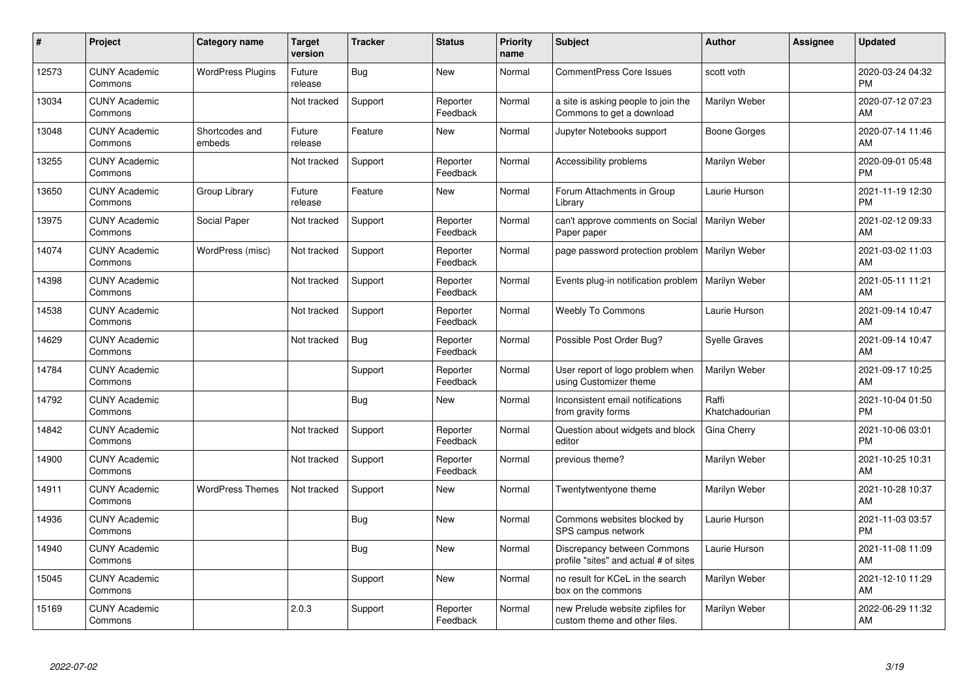| #     | Project                         | <b>Category name</b>     | Target<br>version | <b>Tracker</b> | <b>Status</b>        | <b>Priority</b><br>name | <b>Subject</b>                                                       | <b>Author</b>           | <b>Assignee</b> | <b>Updated</b>                |
|-------|---------------------------------|--------------------------|-------------------|----------------|----------------------|-------------------------|----------------------------------------------------------------------|-------------------------|-----------------|-------------------------------|
| 12573 | <b>CUNY Academic</b><br>Commons | <b>WordPress Plugins</b> | Future<br>release | Bug            | <b>New</b>           | Normal                  | <b>CommentPress Core Issues</b>                                      | scott voth              |                 | 2020-03-24 04:32<br><b>PM</b> |
| 13034 | <b>CUNY Academic</b><br>Commons |                          | Not tracked       | Support        | Reporter<br>Feedback | Normal                  | a site is asking people to join the<br>Commons to get a download     | Marilyn Weber           |                 | 2020-07-12 07:23<br>AM        |
| 13048 | <b>CUNY Academic</b><br>Commons | Shortcodes and<br>embeds | Future<br>release | Feature        | <b>New</b>           | Normal                  | Jupyter Notebooks support                                            | Boone Gorges            |                 | 2020-07-14 11:46<br>AM        |
| 13255 | <b>CUNY Academic</b><br>Commons |                          | Not tracked       | Support        | Reporter<br>Feedback | Normal                  | Accessibility problems                                               | Marilyn Weber           |                 | 2020-09-01 05:48<br><b>PM</b> |
| 13650 | <b>CUNY Academic</b><br>Commons | Group Library            | Future<br>release | Feature        | <b>New</b>           | Normal                  | Forum Attachments in Group<br>Library                                | Laurie Hurson           |                 | 2021-11-19 12:30<br><b>PM</b> |
| 13975 | <b>CUNY Academic</b><br>Commons | Social Paper             | Not tracked       | Support        | Reporter<br>Feedback | Normal                  | can't approve comments on Social<br>Paper paper                      | Marilyn Weber           |                 | 2021-02-12 09:33<br><b>AM</b> |
| 14074 | <b>CUNY Academic</b><br>Commons | WordPress (misc)         | Not tracked       | Support        | Reporter<br>Feedback | Normal                  | page password protection problem                                     | Marilyn Weber           |                 | 2021-03-02 11:03<br>AM        |
| 14398 | <b>CUNY Academic</b><br>Commons |                          | Not tracked       | Support        | Reporter<br>Feedback | Normal                  | Events plug-in notification problem                                  | Marilyn Weber           |                 | 2021-05-11 11:21<br>AM        |
| 14538 | <b>CUNY Academic</b><br>Commons |                          | Not tracked       | Support        | Reporter<br>Feedback | Normal                  | <b>Weebly To Commons</b>                                             | Laurie Hurson           |                 | 2021-09-14 10:47<br>AM        |
| 14629 | <b>CUNY Academic</b><br>Commons |                          | Not tracked       | <b>Bug</b>     | Reporter<br>Feedback | Normal                  | Possible Post Order Bug?                                             | <b>Syelle Graves</b>    |                 | 2021-09-14 10:47<br>AM        |
| 14784 | <b>CUNY Academic</b><br>Commons |                          |                   | Support        | Reporter<br>Feedback | Normal                  | User report of logo problem when<br>using Customizer theme           | Marilyn Weber           |                 | 2021-09-17 10:25<br>AM        |
| 14792 | <b>CUNY Academic</b><br>Commons |                          |                   | <b>Bug</b>     | New                  | Normal                  | Inconsistent email notifications<br>from gravity forms               | Raffi<br>Khatchadourian |                 | 2021-10-04 01:50<br><b>PM</b> |
| 14842 | <b>CUNY Academic</b><br>Commons |                          | Not tracked       | Support        | Reporter<br>Feedback | Normal                  | Question about widgets and block<br>editor                           | Gina Cherry             |                 | 2021-10-06 03:01<br><b>PM</b> |
| 14900 | <b>CUNY Academic</b><br>Commons |                          | Not tracked       | Support        | Reporter<br>Feedback | Normal                  | previous theme?                                                      | Marilyn Weber           |                 | 2021-10-25 10:31<br>AM        |
| 14911 | <b>CUNY Academic</b><br>Commons | <b>WordPress Themes</b>  | Not tracked       | Support        | <b>New</b>           | Normal                  | Twentytwentyone theme                                                | Marilyn Weber           |                 | 2021-10-28 10:37<br>AM        |
| 14936 | <b>CUNY Academic</b><br>Commons |                          |                   | Bug            | <b>New</b>           | Normal                  | Commons websites blocked by<br>SPS campus network                    | Laurie Hurson           |                 | 2021-11-03 03:57<br><b>PM</b> |
| 14940 | <b>CUNY Academic</b><br>Commons |                          |                   | <b>Bug</b>     | <b>New</b>           | Normal                  | Discrepancy between Commons<br>profile "sites" and actual # of sites | Laurie Hurson           |                 | 2021-11-08 11:09<br>AM        |
| 15045 | <b>CUNY Academic</b><br>Commons |                          |                   | Support        | <b>New</b>           | Normal                  | no result for KCeL in the search<br>box on the commons               | Marilyn Weber           |                 | 2021-12-10 11:29<br>AM        |
| 15169 | <b>CUNY Academic</b><br>Commons |                          | 2.0.3             | Support        | Reporter<br>Feedback | Normal                  | new Prelude website zipfiles for<br>custom theme and other files.    | Marilyn Weber           |                 | 2022-06-29 11:32<br>AM        |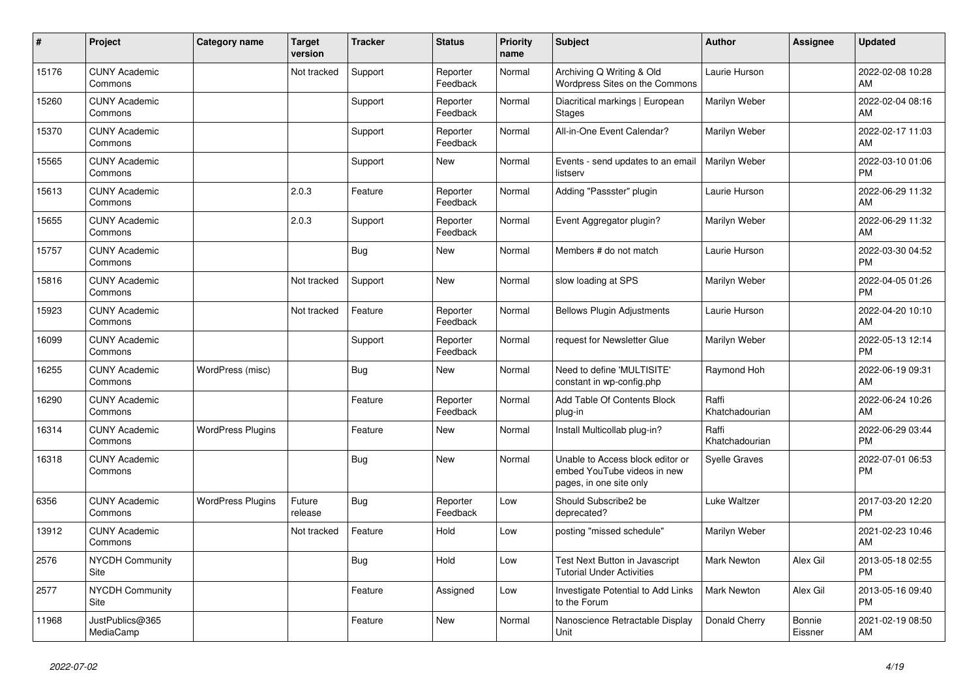| #     | Project                         | Category name            | <b>Target</b><br>version | <b>Tracker</b> | <b>Status</b>        | <b>Priority</b><br>name | <b>Subject</b>                                                                             | <b>Author</b>           | Assignee          | <b>Updated</b>                |
|-------|---------------------------------|--------------------------|--------------------------|----------------|----------------------|-------------------------|--------------------------------------------------------------------------------------------|-------------------------|-------------------|-------------------------------|
| 15176 | <b>CUNY Academic</b><br>Commons |                          | Not tracked              | Support        | Reporter<br>Feedback | Normal                  | Archiving Q Writing & Old<br>Wordpress Sites on the Commons                                | Laurie Hurson           |                   | 2022-02-08 10:28<br>AM        |
| 15260 | <b>CUNY Academic</b><br>Commons |                          |                          | Support        | Reporter<br>Feedback | Normal                  | Diacritical markings   European<br><b>Stages</b>                                           | Marilyn Weber           |                   | 2022-02-04 08:16<br>AM        |
| 15370 | <b>CUNY Academic</b><br>Commons |                          |                          | Support        | Reporter<br>Feedback | Normal                  | All-in-One Event Calendar?                                                                 | Marilyn Weber           |                   | 2022-02-17 11:03<br>AM        |
| 15565 | <b>CUNY Academic</b><br>Commons |                          |                          | Support        | <b>New</b>           | Normal                  | Events - send updates to an email<br>listserv                                              | Marilyn Weber           |                   | 2022-03-10 01:06<br><b>PM</b> |
| 15613 | <b>CUNY Academic</b><br>Commons |                          | 2.0.3                    | Feature        | Reporter<br>Feedback | Normal                  | Adding "Passster" plugin                                                                   | Laurie Hurson           |                   | 2022-06-29 11:32<br>AM        |
| 15655 | <b>CUNY Academic</b><br>Commons |                          | 2.0.3                    | Support        | Reporter<br>Feedback | Normal                  | Event Aggregator plugin?                                                                   | Marilyn Weber           |                   | 2022-06-29 11:32<br>AM        |
| 15757 | <b>CUNY Academic</b><br>Commons |                          |                          | Bug            | <b>New</b>           | Normal                  | Members # do not match                                                                     | Laurie Hurson           |                   | 2022-03-30 04:52<br><b>PM</b> |
| 15816 | <b>CUNY Academic</b><br>Commons |                          | Not tracked              | Support        | <b>New</b>           | Normal                  | slow loading at SPS                                                                        | Marilyn Weber           |                   | 2022-04-05 01:26<br><b>PM</b> |
| 15923 | <b>CUNY Academic</b><br>Commons |                          | Not tracked              | Feature        | Reporter<br>Feedback | Normal                  | <b>Bellows Plugin Adjustments</b>                                                          | Laurie Hurson           |                   | 2022-04-20 10:10<br>AM        |
| 16099 | <b>CUNY Academic</b><br>Commons |                          |                          | Support        | Reporter<br>Feedback | Normal                  | request for Newsletter Glue                                                                | Marilyn Weber           |                   | 2022-05-13 12:14<br><b>PM</b> |
| 16255 | <b>CUNY Academic</b><br>Commons | WordPress (misc)         |                          | Bug            | <b>New</b>           | Normal                  | Need to define 'MULTISITE'<br>constant in wp-config.php                                    | Raymond Hoh             |                   | 2022-06-19 09:31<br>AM        |
| 16290 | <b>CUNY Academic</b><br>Commons |                          |                          | Feature        | Reporter<br>Feedback | Normal                  | Add Table Of Contents Block<br>plug-in                                                     | Raffi<br>Khatchadourian |                   | 2022-06-24 10:26<br>AM        |
| 16314 | <b>CUNY Academic</b><br>Commons | <b>WordPress Plugins</b> |                          | Feature        | <b>New</b>           | Normal                  | Install Multicollab plug-in?                                                               | Raffi<br>Khatchadourian |                   | 2022-06-29 03:44<br><b>PM</b> |
| 16318 | <b>CUNY Academic</b><br>Commons |                          |                          | <b>Bug</b>     | <b>New</b>           | Normal                  | Unable to Access block editor or<br>embed YouTube videos in new<br>pages, in one site only | <b>Syelle Graves</b>    |                   | 2022-07-01 06:53<br><b>PM</b> |
| 6356  | <b>CUNY Academic</b><br>Commons | <b>WordPress Plugins</b> | Future<br>release        | Bug            | Reporter<br>Feedback | Low                     | Should Subscribe2 be<br>deprecated?                                                        | Luke Waltzer            |                   | 2017-03-20 12:20<br><b>PM</b> |
| 13912 | <b>CUNY Academic</b><br>Commons |                          | Not tracked              | Feature        | Hold                 | Low                     | posting "missed schedule"                                                                  | Marilyn Weber           |                   | 2021-02-23 10:46<br>AM        |
| 2576  | <b>NYCDH Community</b><br>Site  |                          |                          | Bug            | Hold                 | Low                     | Test Next Button in Javascript<br><b>Tutorial Under Activities</b>                         | Mark Newton             | Alex Gil          | 2013-05-18 02:55<br><b>PM</b> |
| 2577  | <b>NYCDH Community</b><br>Site  |                          |                          | Feature        | Assigned             | Low                     | Investigate Potential to Add Links<br>to the Forum                                         | <b>Mark Newton</b>      | Alex Gil          | 2013-05-16 09:40<br><b>PM</b> |
| 11968 | JustPublics@365<br>MediaCamp    |                          |                          | Feature        | <b>New</b>           | Normal                  | Nanoscience Retractable Display<br>Unit                                                    | Donald Cherry           | Bonnie<br>Eissner | 2021-02-19 08:50<br>AM        |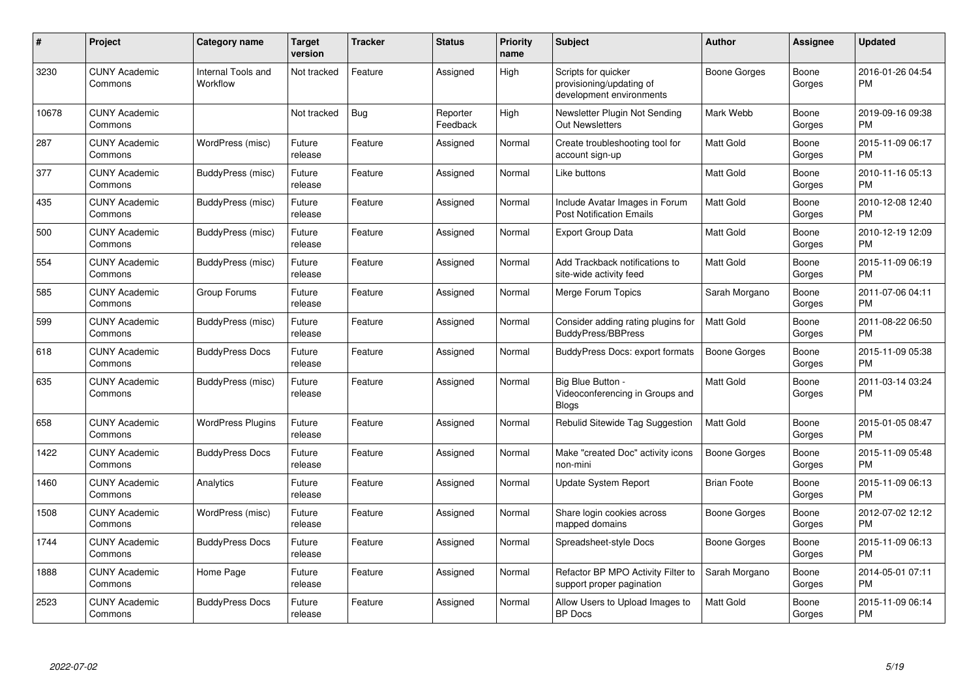| $\vert$ # | Project                         | <b>Category name</b>           | <b>Target</b><br>version | <b>Tracker</b> | <b>Status</b>        | Priority<br>name | <b>Subject</b>                                                              | <b>Author</b>      | <b>Assignee</b> | <b>Updated</b>                |
|-----------|---------------------------------|--------------------------------|--------------------------|----------------|----------------------|------------------|-----------------------------------------------------------------------------|--------------------|-----------------|-------------------------------|
| 3230      | <b>CUNY Academic</b><br>Commons | Internal Tools and<br>Workflow | Not tracked              | Feature        | Assigned             | High             | Scripts for quicker<br>provisioning/updating of<br>development environments | Boone Gorges       | Boone<br>Gorges | 2016-01-26 04:54<br><b>PM</b> |
| 10678     | <b>CUNY Academic</b><br>Commons |                                | Not tracked              | Bug            | Reporter<br>Feedback | High             | Newsletter Plugin Not Sending<br><b>Out Newsletters</b>                     | Mark Webb          | Boone<br>Gorges | 2019-09-16 09:38<br><b>PM</b> |
| 287       | <b>CUNY Academic</b><br>Commons | WordPress (misc)               | Future<br>release        | Feature        | Assigned             | Normal           | Create troubleshooting tool for<br>account sign-up                          | Matt Gold          | Boone<br>Gorges | 2015-11-09 06:17<br><b>PM</b> |
| 377       | <b>CUNY Academic</b><br>Commons | BuddyPress (misc)              | Future<br>release        | Feature        | Assigned             | Normal           | Like buttons                                                                | Matt Gold          | Boone<br>Gorges | 2010-11-16 05:13<br><b>PM</b> |
| 435       | <b>CUNY Academic</b><br>Commons | BuddyPress (misc)              | Future<br>release        | Feature        | Assigned             | Normal           | Include Avatar Images in Forum<br><b>Post Notification Emails</b>           | Matt Gold          | Boone<br>Gorges | 2010-12-08 12:40<br><b>PM</b> |
| 500       | <b>CUNY Academic</b><br>Commons | BuddyPress (misc)              | Future<br>release        | Feature        | Assigned             | Normal           | Export Group Data                                                           | Matt Gold          | Boone<br>Gorges | 2010-12-19 12:09<br><b>PM</b> |
| 554       | <b>CUNY Academic</b><br>Commons | BuddyPress (misc)              | Future<br>release        | Feature        | Assigned             | Normal           | Add Trackback notifications to<br>site-wide activity feed                   | <b>Matt Gold</b>   | Boone<br>Gorges | 2015-11-09 06:19<br><b>PM</b> |
| 585       | <b>CUNY Academic</b><br>Commons | Group Forums                   | Future<br>release        | Feature        | Assigned             | Normal           | Merge Forum Topics                                                          | Sarah Morgano      | Boone<br>Gorges | 2011-07-06 04:11<br><b>PM</b> |
| 599       | <b>CUNY Academic</b><br>Commons | BuddyPress (misc)              | Future<br>release        | Feature        | Assigned             | Normal           | Consider adding rating plugins for<br><b>BuddyPress/BBPress</b>             | <b>Matt Gold</b>   | Boone<br>Gorges | 2011-08-22 06:50<br><b>PM</b> |
| 618       | <b>CUNY Academic</b><br>Commons | <b>BuddyPress Docs</b>         | Future<br>release        | Feature        | Assigned             | Normal           | BuddyPress Docs: export formats                                             | Boone Gorges       | Boone<br>Gorges | 2015-11-09 05:38<br><b>PM</b> |
| 635       | <b>CUNY Academic</b><br>Commons | BuddyPress (misc)              | Future<br>release        | Feature        | Assigned             | Normal           | Big Blue Button -<br>Videoconferencing in Groups and<br><b>Blogs</b>        | Matt Gold          | Boone<br>Gorges | 2011-03-14 03:24<br><b>PM</b> |
| 658       | <b>CUNY Academic</b><br>Commons | <b>WordPress Plugins</b>       | Future<br>release        | Feature        | Assigned             | Normal           | Rebulid Sitewide Tag Suggestion                                             | <b>Matt Gold</b>   | Boone<br>Gorges | 2015-01-05 08:47<br><b>PM</b> |
| 1422      | <b>CUNY Academic</b><br>Commons | <b>BuddyPress Docs</b>         | Future<br>release        | Feature        | Assigned             | Normal           | Make "created Doc" activity icons<br>non-mini                               | Boone Gorges       | Boone<br>Gorges | 2015-11-09 05:48<br><b>PM</b> |
| 1460      | <b>CUNY Academic</b><br>Commons | Analytics                      | Future<br>release        | Feature        | Assigned             | Normal           | <b>Update System Report</b>                                                 | <b>Brian Foote</b> | Boone<br>Gorges | 2015-11-09 06:13<br><b>PM</b> |
| 1508      | <b>CUNY Academic</b><br>Commons | WordPress (misc)               | Future<br>release        | Feature        | Assigned             | Normal           | Share login cookies across<br>mapped domains                                | Boone Gorges       | Boone<br>Gorges | 2012-07-02 12:12<br><b>PM</b> |
| 1744      | <b>CUNY Academic</b><br>Commons | <b>BuddyPress Docs</b>         | Future<br>release        | Feature        | Assigned             | Normal           | Spreadsheet-style Docs                                                      | Boone Gorges       | Boone<br>Gorges | 2015-11-09 06:13<br><b>PM</b> |
| 1888      | <b>CUNY Academic</b><br>Commons | Home Page                      | Future<br>release        | Feature        | Assigned             | Normal           | Refactor BP MPO Activity Filter to<br>support proper pagination             | Sarah Morgano      | Boone<br>Gorges | 2014-05-01 07:11<br><b>PM</b> |
| 2523      | <b>CUNY Academic</b><br>Commons | <b>BuddyPress Docs</b>         | Future<br>release        | Feature        | Assigned             | Normal           | Allow Users to Upload Images to<br><b>BP</b> Docs                           | <b>Matt Gold</b>   | Boone<br>Gorges | 2015-11-09 06:14<br>PM        |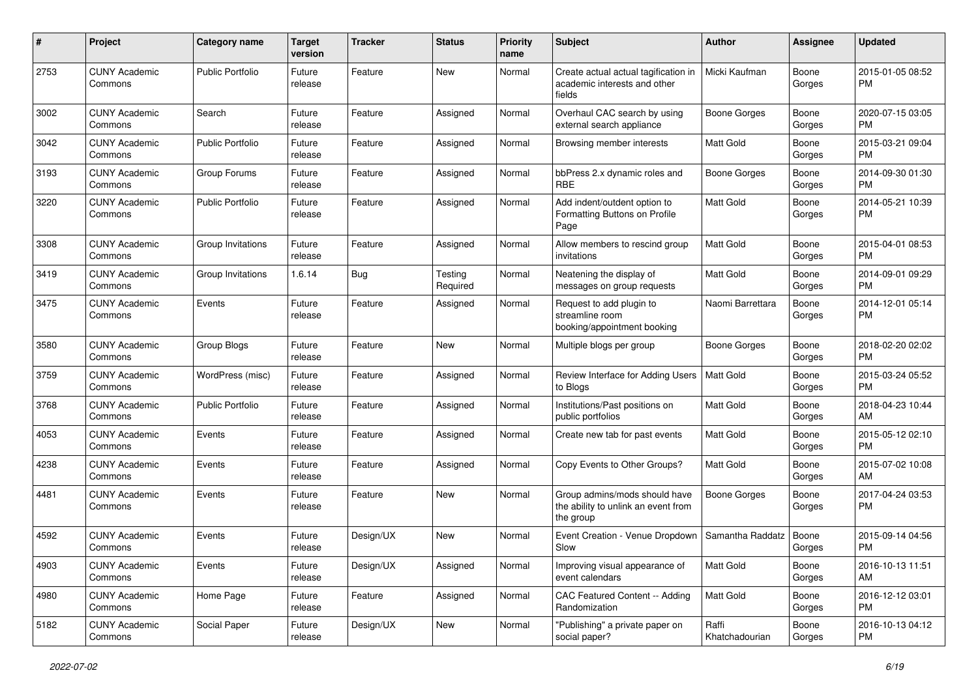| #    | Project                         | <b>Category name</b>    | <b>Target</b><br>version | <b>Tracker</b> | <b>Status</b>       | Priority<br>name | <b>Subject</b>                                                                    | Author                  | <b>Assignee</b> | <b>Updated</b>                |
|------|---------------------------------|-------------------------|--------------------------|----------------|---------------------|------------------|-----------------------------------------------------------------------------------|-------------------------|-----------------|-------------------------------|
| 2753 | <b>CUNY Academic</b><br>Commons | <b>Public Portfolio</b> | Future<br>release        | Feature        | <b>New</b>          | Normal           | Create actual actual tagification in<br>academic interests and other<br>fields    | Micki Kaufman           | Boone<br>Gorges | 2015-01-05 08:52<br><b>PM</b> |
| 3002 | <b>CUNY Academic</b><br>Commons | Search                  | Future<br>release        | Feature        | Assigned            | Normal           | Overhaul CAC search by using<br>external search appliance                         | <b>Boone Gorges</b>     | Boone<br>Gorges | 2020-07-15 03:05<br>PM.       |
| 3042 | <b>CUNY Academic</b><br>Commons | <b>Public Portfolio</b> | Future<br>release        | Feature        | Assigned            | Normal           | Browsing member interests                                                         | <b>Matt Gold</b>        | Boone<br>Gorges | 2015-03-21 09:04<br><b>PM</b> |
| 3193 | <b>CUNY Academic</b><br>Commons | Group Forums            | Future<br>release        | Feature        | Assigned            | Normal           | bbPress 2.x dynamic roles and<br><b>RBE</b>                                       | <b>Boone Gorges</b>     | Boone<br>Gorges | 2014-09-30 01:30<br><b>PM</b> |
| 3220 | <b>CUNY Academic</b><br>Commons | <b>Public Portfolio</b> | Future<br>release        | Feature        | Assigned            | Normal           | Add indent/outdent option to<br>Formatting Buttons on Profile<br>Page             | <b>Matt Gold</b>        | Boone<br>Gorges | 2014-05-21 10:39<br><b>PM</b> |
| 3308 | <b>CUNY Academic</b><br>Commons | Group Invitations       | Future<br>release        | Feature        | Assigned            | Normal           | Allow members to rescind group<br>invitations                                     | Matt Gold               | Boone<br>Gorges | 2015-04-01 08:53<br><b>PM</b> |
| 3419 | <b>CUNY Academic</b><br>Commons | Group Invitations       | 1.6.14                   | Bug            | Testing<br>Required | Normal           | Neatening the display of<br>messages on group requests                            | <b>Matt Gold</b>        | Boone<br>Gorges | 2014-09-01 09:29<br><b>PM</b> |
| 3475 | <b>CUNY Academic</b><br>Commons | Events                  | Future<br>release        | Feature        | Assigned            | Normal           | Request to add plugin to<br>streamline room<br>booking/appointment booking        | Naomi Barrettara        | Boone<br>Gorges | 2014-12-01 05:14<br><b>PM</b> |
| 3580 | <b>CUNY Academic</b><br>Commons | Group Blogs             | Future<br>release        | Feature        | New                 | Normal           | Multiple blogs per group                                                          | Boone Gorges            | Boone<br>Gorges | 2018-02-20 02:02<br><b>PM</b> |
| 3759 | <b>CUNY Academic</b><br>Commons | WordPress (misc)        | Future<br>release        | Feature        | Assigned            | Normal           | Review Interface for Adding Users<br>to Blogs                                     | <b>Matt Gold</b>        | Boone<br>Gorges | 2015-03-24 05:52<br><b>PM</b> |
| 3768 | <b>CUNY Academic</b><br>Commons | Public Portfolio        | Future<br>release        | Feature        | Assigned            | Normal           | Institutions/Past positions on<br>public portfolios                               | <b>Matt Gold</b>        | Boone<br>Gorges | 2018-04-23 10:44<br>AM        |
| 4053 | <b>CUNY Academic</b><br>Commons | Events                  | Future<br>release        | Feature        | Assigned            | Normal           | Create new tab for past events                                                    | <b>Matt Gold</b>        | Boone<br>Gorges | 2015-05-12 02:10<br><b>PM</b> |
| 4238 | <b>CUNY Academic</b><br>Commons | Events                  | Future<br>release        | Feature        | Assigned            | Normal           | Copy Events to Other Groups?                                                      | Matt Gold               | Boone<br>Gorges | 2015-07-02 10:08<br>AM        |
| 4481 | <b>CUNY Academic</b><br>Commons | Events                  | Future<br>release        | Feature        | New                 | Normal           | Group admins/mods should have<br>the ability to unlink an event from<br>the group | Boone Gorges            | Boone<br>Gorges | 2017-04-24 03:53<br><b>PM</b> |
| 4592 | <b>CUNY Academic</b><br>Commons | Events                  | Future<br>release        | Design/UX      | <b>New</b>          | Normal           | Event Creation - Venue Dropdown<br>Slow                                           | Samantha Raddatz        | Boone<br>Gorges | 2015-09-14 04:56<br><b>PM</b> |
| 4903 | <b>CUNY Academic</b><br>Commons | Events                  | Future<br>release        | Design/UX      | Assigned            | Normal           | Improving visual appearance of<br>event calendars                                 | Matt Gold               | Boone<br>Gorges | 2016-10-13 11:51<br>AM        |
| 4980 | <b>CUNY Academic</b><br>Commons | Home Page               | Future<br>release        | Feature        | Assigned            | Normal           | CAC Featured Content -- Adding<br>Randomization                                   | Matt Gold               | Boone<br>Gorges | 2016-12-12 03:01<br><b>PM</b> |
| 5182 | <b>CUNY Academic</b><br>Commons | Social Paper            | Future<br>release        | Design/UX      | New                 | Normal           | "Publishing" a private paper on<br>social paper?                                  | Raffi<br>Khatchadourian | Boone<br>Gorges | 2016-10-13 04:12<br><b>PM</b> |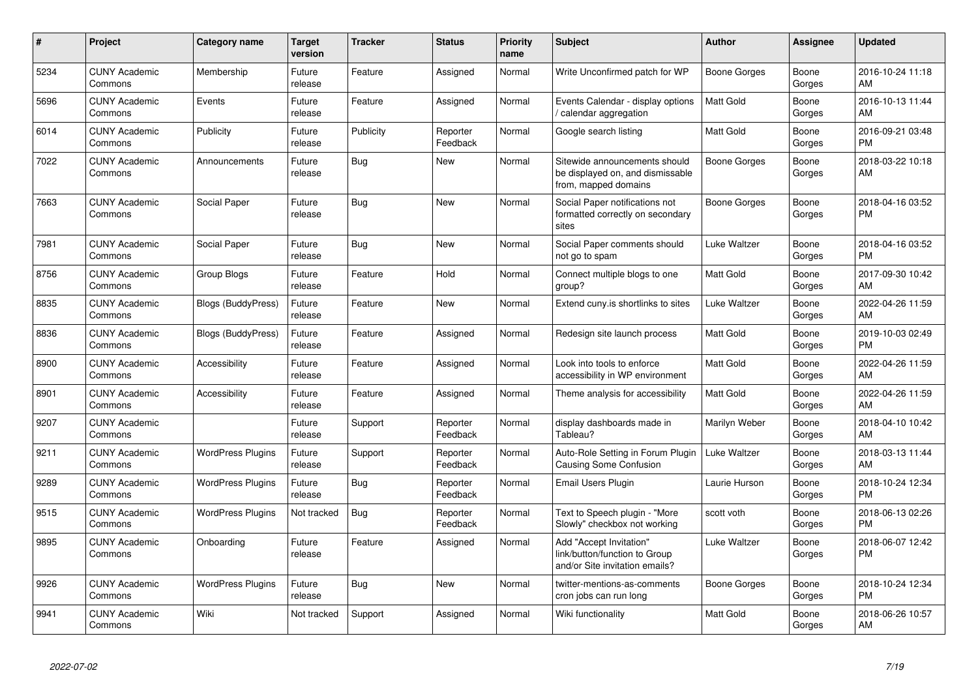| #    | <b>Project</b>                  | Category name             | <b>Target</b><br>version | <b>Tracker</b> | <b>Status</b>        | <b>Priority</b><br>name | <b>Subject</b>                                                                             | <b>Author</b>       | Assignee        | <b>Updated</b>                |
|------|---------------------------------|---------------------------|--------------------------|----------------|----------------------|-------------------------|--------------------------------------------------------------------------------------------|---------------------|-----------------|-------------------------------|
| 5234 | <b>CUNY Academic</b><br>Commons | Membership                | Future<br>release        | Feature        | Assigned             | Normal                  | Write Unconfirmed patch for WP                                                             | Boone Gorges        | Boone<br>Gorges | 2016-10-24 11:18<br>AM        |
| 5696 | <b>CUNY Academic</b><br>Commons | Events                    | Future<br>release        | Feature        | Assigned             | Normal                  | Events Calendar - display options<br>calendar aggregation /                                | <b>Matt Gold</b>    | Boone<br>Gorges | 2016-10-13 11:44<br>AM        |
| 6014 | <b>CUNY Academic</b><br>Commons | Publicity                 | Future<br>release        | Publicity      | Reporter<br>Feedback | Normal                  | Google search listing                                                                      | <b>Matt Gold</b>    | Boone<br>Gorges | 2016-09-21 03:48<br><b>PM</b> |
| 7022 | <b>CUNY Academic</b><br>Commons | Announcements             | Future<br>release        | Bug            | <b>New</b>           | Normal                  | Sitewide announcements should<br>be displayed on, and dismissable<br>from, mapped domains  | <b>Boone Gorges</b> | Boone<br>Gorges | 2018-03-22 10:18<br>AM        |
| 7663 | <b>CUNY Academic</b><br>Commons | Social Paper              | Future<br>release        | Bug            | New                  | Normal                  | Social Paper notifications not<br>formatted correctly on secondary<br>sites                | Boone Gorges        | Boone<br>Gorges | 2018-04-16 03:52<br><b>PM</b> |
| 7981 | <b>CUNY Academic</b><br>Commons | Social Paper              | Future<br>release        | <b>Bug</b>     | <b>New</b>           | Normal                  | Social Paper comments should<br>not go to spam                                             | Luke Waltzer        | Boone<br>Gorges | 2018-04-16 03:52<br><b>PM</b> |
| 8756 | <b>CUNY Academic</b><br>Commons | Group Blogs               | Future<br>release        | Feature        | Hold                 | Normal                  | Connect multiple blogs to one<br>group?                                                    | <b>Matt Gold</b>    | Boone<br>Gorges | 2017-09-30 10:42<br>AM        |
| 8835 | <b>CUNY Academic</b><br>Commons | <b>Blogs (BuddyPress)</b> | Future<br>release        | Feature        | New                  | Normal                  | Extend cuny is shortlinks to sites                                                         | Luke Waltzer        | Boone<br>Gorges | 2022-04-26 11:59<br>AM        |
| 8836 | <b>CUNY Academic</b><br>Commons | Blogs (BuddyPress)        | Future<br>release        | Feature        | Assigned             | Normal                  | Redesign site launch process                                                               | Matt Gold           | Boone<br>Gorges | 2019-10-03 02:49<br><b>PM</b> |
| 8900 | <b>CUNY Academic</b><br>Commons | Accessibility             | Future<br>release        | Feature        | Assigned             | Normal                  | Look into tools to enforce<br>accessibility in WP environment                              | Matt Gold           | Boone<br>Gorges | 2022-04-26 11:59<br>AM        |
| 8901 | <b>CUNY Academic</b><br>Commons | Accessibility             | Future<br>release        | Feature        | Assigned             | Normal                  | Theme analysis for accessibility                                                           | <b>Matt Gold</b>    | Boone<br>Gorges | 2022-04-26 11:59<br>AM        |
| 9207 | <b>CUNY Academic</b><br>Commons |                           | Future<br>release        | Support        | Reporter<br>Feedback | Normal                  | display dashboards made in<br>Tableau?                                                     | Marilyn Weber       | Boone<br>Gorges | 2018-04-10 10:42<br>AM        |
| 9211 | <b>CUNY Academic</b><br>Commons | <b>WordPress Plugins</b>  | Future<br>release        | Support        | Reporter<br>Feedback | Normal                  | Auto-Role Setting in Forum Plugin<br>Causing Some Confusion                                | Luke Waltzer        | Boone<br>Gorges | 2018-03-13 11:44<br>AM        |
| 9289 | <b>CUNY Academic</b><br>Commons | <b>WordPress Plugins</b>  | Future<br>release        | <b>Bug</b>     | Reporter<br>Feedback | Normal                  | Email Users Plugin                                                                         | Laurie Hurson       | Boone<br>Gorges | 2018-10-24 12:34<br><b>PM</b> |
| 9515 | <b>CUNY Academic</b><br>Commons | <b>WordPress Plugins</b>  | Not tracked              | Bug            | Reporter<br>Feedback | Normal                  | Text to Speech plugin - "More<br>Slowly" checkbox not working                              | scott voth          | Boone<br>Gorges | 2018-06-13 02:26<br><b>PM</b> |
| 9895 | <b>CUNY Academic</b><br>Commons | Onboarding                | Future<br>release        | Feature        | Assigned             | Normal                  | Add "Accept Invitation"<br>link/button/function to Group<br>and/or Site invitation emails? | Luke Waltzer        | Boone<br>Gorges | 2018-06-07 12:42<br><b>PM</b> |
| 9926 | <b>CUNY Academic</b><br>Commons | <b>WordPress Plugins</b>  | Future<br>release        | Bug            | <b>New</b>           | Normal                  | twitter-mentions-as-comments<br>cron jobs can run long                                     | Boone Gorges        | Boone<br>Gorges | 2018-10-24 12:34<br><b>PM</b> |
| 9941 | <b>CUNY Academic</b><br>Commons | Wiki                      | Not tracked              | Support        | Assigned             | Normal                  | Wiki functionality                                                                         | <b>Matt Gold</b>    | Boone<br>Gorges | 2018-06-26 10:57<br>AM        |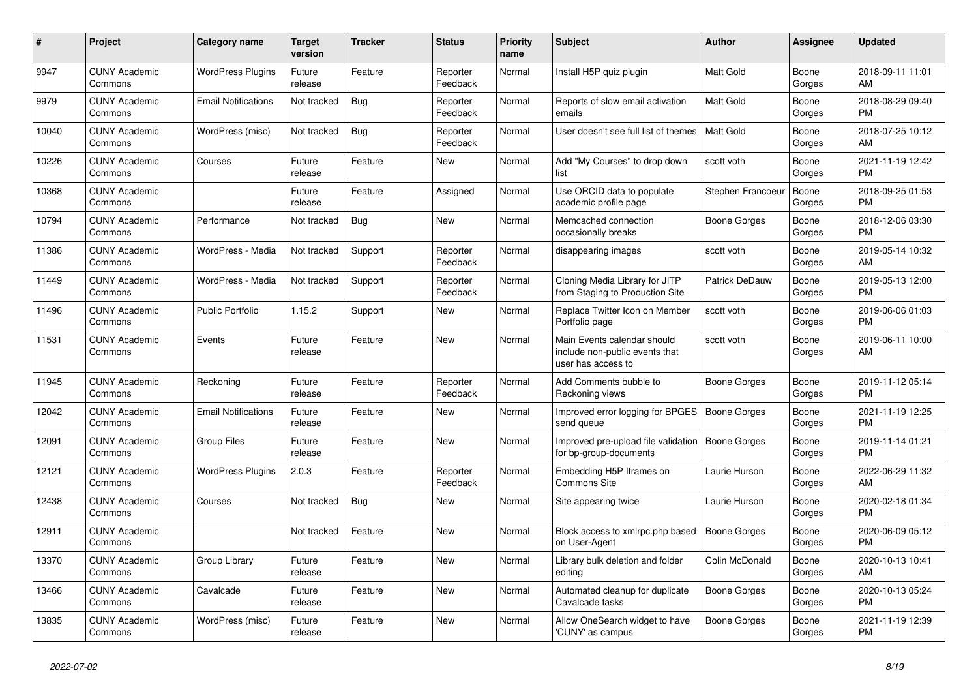| #     | Project                         | <b>Category name</b>       | Target<br>version | <b>Tracker</b> | <b>Status</b>        | <b>Priority</b><br>name | <b>Subject</b>                                                                      | <b>Author</b>       | Assignee        | <b>Updated</b>                |
|-------|---------------------------------|----------------------------|-------------------|----------------|----------------------|-------------------------|-------------------------------------------------------------------------------------|---------------------|-----------------|-------------------------------|
| 9947  | <b>CUNY Academic</b><br>Commons | <b>WordPress Plugins</b>   | Future<br>release | Feature        | Reporter<br>Feedback | Normal                  | Install H5P quiz plugin                                                             | Matt Gold           | Boone<br>Gorges | 2018-09-11 11:01<br>AM        |
| 9979  | <b>CUNY Academic</b><br>Commons | <b>Email Notifications</b> | Not tracked       | <b>Bug</b>     | Reporter<br>Feedback | Normal                  | Reports of slow email activation<br>emails                                          | Matt Gold           | Boone<br>Gorges | 2018-08-29 09:40<br><b>PM</b> |
| 10040 | <b>CUNY Academic</b><br>Commons | WordPress (misc)           | Not tracked       | Bug            | Reporter<br>Feedback | Normal                  | User doesn't see full list of themes                                                | <b>Matt Gold</b>    | Boone<br>Gorges | 2018-07-25 10:12<br>AM        |
| 10226 | <b>CUNY Academic</b><br>Commons | Courses                    | Future<br>release | Feature        | <b>New</b>           | Normal                  | Add "My Courses" to drop down<br>list                                               | scott voth          | Boone<br>Gorges | 2021-11-19 12:42<br><b>PM</b> |
| 10368 | <b>CUNY Academic</b><br>Commons |                            | Future<br>release | Feature        | Assigned             | Normal                  | Use ORCID data to populate<br>academic profile page                                 | Stephen Francoeur   | Boone<br>Gorges | 2018-09-25 01:53<br><b>PM</b> |
| 10794 | <b>CUNY Academic</b><br>Commons | Performance                | Not tracked       | Bug            | New                  | Normal                  | Memcached connection<br>occasionally breaks                                         | Boone Gorges        | Boone<br>Gorges | 2018-12-06 03:30<br><b>PM</b> |
| 11386 | <b>CUNY Academic</b><br>Commons | WordPress - Media          | Not tracked       | Support        | Reporter<br>Feedback | Normal                  | disappearing images                                                                 | scott voth          | Boone<br>Gorges | 2019-05-14 10:32<br>AM        |
| 11449 | <b>CUNY Academic</b><br>Commons | WordPress - Media          | Not tracked       | Support        | Reporter<br>Feedback | Normal                  | Cloning Media Library for JITP<br>from Staging to Production Site                   | Patrick DeDauw      | Boone<br>Gorges | 2019-05-13 12:00<br><b>PM</b> |
| 11496 | <b>CUNY Academic</b><br>Commons | <b>Public Portfolio</b>    | 1.15.2            | Support        | New                  | Normal                  | Replace Twitter Icon on Member<br>Portfolio page                                    | scott voth          | Boone<br>Gorges | 2019-06-06 01:03<br><b>PM</b> |
| 11531 | <b>CUNY Academic</b><br>Commons | Events                     | Future<br>release | Feature        | <b>New</b>           | Normal                  | Main Events calendar should<br>include non-public events that<br>user has access to | scott voth          | Boone<br>Gorges | 2019-06-11 10:00<br>AM        |
| 11945 | <b>CUNY Academic</b><br>Commons | Reckoning                  | Future<br>release | Feature        | Reporter<br>Feedback | Normal                  | Add Comments bubble to<br>Reckoning views                                           | Boone Gorges        | Boone<br>Gorges | 2019-11-12 05:14<br><b>PM</b> |
| 12042 | <b>CUNY Academic</b><br>Commons | <b>Email Notifications</b> | Future<br>release | Feature        | New                  | Normal                  | Improved error logging for BPGES<br>send queue                                      | <b>Boone Gorges</b> | Boone<br>Gorges | 2021-11-19 12:25<br><b>PM</b> |
| 12091 | <b>CUNY Academic</b><br>Commons | <b>Group Files</b>         | Future<br>release | Feature        | <b>New</b>           | Normal                  | Improved pre-upload file validation<br>for bp-group-documents                       | Boone Gorges        | Boone<br>Gorges | 2019-11-14 01:21<br><b>PM</b> |
| 12121 | <b>CUNY Academic</b><br>Commons | <b>WordPress Plugins</b>   | 2.0.3             | Feature        | Reporter<br>Feedback | Normal                  | Embedding H5P Iframes on<br><b>Commons Site</b>                                     | Laurie Hurson       | Boone<br>Gorges | 2022-06-29 11:32<br>AM        |
| 12438 | <b>CUNY Academic</b><br>Commons | Courses                    | Not tracked       | Bug            | <b>New</b>           | Normal                  | Site appearing twice                                                                | Laurie Hurson       | Boone<br>Gorges | 2020-02-18 01:34<br><b>PM</b> |
| 12911 | <b>CUNY Academic</b><br>Commons |                            | Not tracked       | Feature        | <b>New</b>           | Normal                  | Block access to xmlrpc.php based<br>on User-Agent                                   | <b>Boone Gorges</b> | Boone<br>Gorges | 2020-06-09 05:12<br><b>PM</b> |
| 13370 | <b>CUNY Academic</b><br>Commons | Group Library              | Future<br>release | Feature        | <b>New</b>           | Normal                  | Library bulk deletion and folder<br>editing                                         | Colin McDonald      | Boone<br>Gorges | 2020-10-13 10:41<br>AM        |
| 13466 | <b>CUNY Academic</b><br>Commons | Cavalcade                  | Future<br>release | Feature        | New                  | Normal                  | Automated cleanup for duplicate<br>Cavalcade tasks                                  | Boone Gorges        | Boone<br>Gorges | 2020-10-13 05:24<br><b>PM</b> |
| 13835 | <b>CUNY Academic</b><br>Commons | WordPress (misc)           | Future<br>release | Feature        | <b>New</b>           | Normal                  | Allow OneSearch widget to have<br>'CUNY' as campus                                  | Boone Gorges        | Boone<br>Gorges | 2021-11-19 12:39<br><b>PM</b> |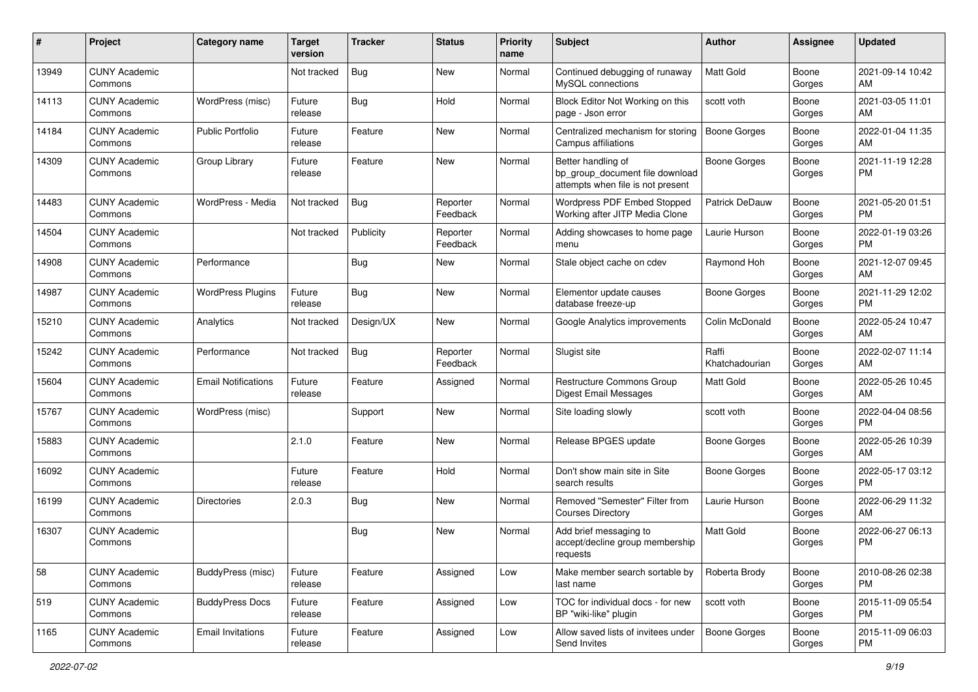| #     | Project                         | <b>Category name</b>       | <b>Target</b><br>version | <b>Tracker</b> | <b>Status</b>        | <b>Priority</b><br>name | <b>Subject</b>                                                                             | Author                  | Assignee        | <b>Updated</b>                |
|-------|---------------------------------|----------------------------|--------------------------|----------------|----------------------|-------------------------|--------------------------------------------------------------------------------------------|-------------------------|-----------------|-------------------------------|
| 13949 | <b>CUNY Academic</b><br>Commons |                            | Not tracked              | Bug            | <b>New</b>           | Normal                  | Continued debugging of runaway<br>MySQL connections                                        | <b>Matt Gold</b>        | Boone<br>Gorges | 2021-09-14 10:42<br>AM        |
| 14113 | <b>CUNY Academic</b><br>Commons | WordPress (misc)           | Future<br>release        | Bug            | Hold                 | Normal                  | Block Editor Not Working on this<br>page - Json error                                      | scott voth              | Boone<br>Gorges | 2021-03-05 11:01<br>AM        |
| 14184 | <b>CUNY Academic</b><br>Commons | <b>Public Portfolio</b>    | Future<br>release        | Feature        | <b>New</b>           | Normal                  | Centralized mechanism for storing<br>Campus affiliations                                   | <b>Boone Gorges</b>     | Boone<br>Gorges | 2022-01-04 11:35<br>AM        |
| 14309 | <b>CUNY Academic</b><br>Commons | Group Library              | Future<br>release        | Feature        | New                  | Normal                  | Better handling of<br>bp_group_document file download<br>attempts when file is not present | Boone Gorges            | Boone<br>Gorges | 2021-11-19 12:28<br><b>PM</b> |
| 14483 | <b>CUNY Academic</b><br>Commons | WordPress - Media          | Not tracked              | Bug            | Reporter<br>Feedback | Normal                  | Wordpress PDF Embed Stopped<br>Working after JITP Media Clone                              | Patrick DeDauw          | Boone<br>Gorges | 2021-05-20 01:51<br>PM.       |
| 14504 | <b>CUNY Academic</b><br>Commons |                            | Not tracked              | Publicity      | Reporter<br>Feedback | Normal                  | Adding showcases to home page<br>menu                                                      | Laurie Hurson           | Boone<br>Gorges | 2022-01-19 03:26<br><b>PM</b> |
| 14908 | <b>CUNY Academic</b><br>Commons | Performance                |                          | <b>Bug</b>     | New                  | Normal                  | Stale object cache on cdev                                                                 | Raymond Hoh             | Boone<br>Gorges | 2021-12-07 09:45<br>AM        |
| 14987 | <b>CUNY Academic</b><br>Commons | <b>WordPress Plugins</b>   | Future<br>release        | Bug            | New                  | Normal                  | Elementor update causes<br>database freeze-up                                              | <b>Boone Gorges</b>     | Boone<br>Gorges | 2021-11-29 12:02<br><b>PM</b> |
| 15210 | <b>CUNY Academic</b><br>Commons | Analytics                  | Not tracked              | Design/UX      | <b>New</b>           | Normal                  | Google Analytics improvements                                                              | Colin McDonald          | Boone<br>Gorges | 2022-05-24 10:47<br>AM        |
| 15242 | <b>CUNY Academic</b><br>Commons | Performance                | Not tracked              | <b>Bug</b>     | Reporter<br>Feedback | Normal                  | Slugist site                                                                               | Raffi<br>Khatchadourian | Boone<br>Gorges | 2022-02-07 11:14<br>AM        |
| 15604 | <b>CUNY Academic</b><br>Commons | <b>Email Notifications</b> | Future<br>release        | Feature        | Assigned             | Normal                  | Restructure Commons Group<br><b>Digest Email Messages</b>                                  | <b>Matt Gold</b>        | Boone<br>Gorges | 2022-05-26 10:45<br>AM        |
| 15767 | <b>CUNY Academic</b><br>Commons | WordPress (misc)           |                          | Support        | New                  | Normal                  | Site loading slowly                                                                        | scott voth              | Boone<br>Gorges | 2022-04-04 08:56<br><b>PM</b> |
| 15883 | <b>CUNY Academic</b><br>Commons |                            | 2.1.0                    | Feature        | <b>New</b>           | Normal                  | Release BPGES update                                                                       | Boone Gorges            | Boone<br>Gorges | 2022-05-26 10:39<br>AM        |
| 16092 | <b>CUNY Academic</b><br>Commons |                            | Future<br>release        | Feature        | Hold                 | Normal                  | Don't show main site in Site<br>search results                                             | <b>Boone Gorges</b>     | Boone<br>Gorges | 2022-05-17 03:12<br><b>PM</b> |
| 16199 | <b>CUNY Academic</b><br>Commons | <b>Directories</b>         | 2.0.3                    | Bug            | New                  | Normal                  | Removed "Semester" Filter from<br><b>Courses Directory</b>                                 | Laurie Hurson           | Boone<br>Gorges | 2022-06-29 11:32<br>AM        |
| 16307 | <b>CUNY Academic</b><br>Commons |                            |                          | Bug            | New                  | Normal                  | Add brief messaging to<br>accept/decline group membership<br>requests                      | <b>Matt Gold</b>        | Boone<br>Gorges | 2022-06-27 06:13<br><b>PM</b> |
| 58    | <b>CUNY Academic</b><br>Commons | BuddyPress (misc)          | Future<br>release        | Feature        | Assigned             | Low                     | Make member search sortable by<br>last name                                                | Roberta Brody           | Boone<br>Gorges | 2010-08-26 02:38<br>PM        |
| 519   | <b>CUNY Academic</b><br>Commons | <b>BuddyPress Docs</b>     | Future<br>release        | Feature        | Assigned             | Low                     | TOC for individual docs - for new<br>BP "wiki-like" plugin                                 | scott voth              | Boone<br>Gorges | 2015-11-09 05:54<br><b>PM</b> |
| 1165  | <b>CUNY Academic</b><br>Commons | <b>Email Invitations</b>   | Future<br>release        | Feature        | Assigned             | Low                     | Allow saved lists of invitees under<br>Send Invites                                        | <b>Boone Gorges</b>     | Boone<br>Gorges | 2015-11-09 06:03<br>PM        |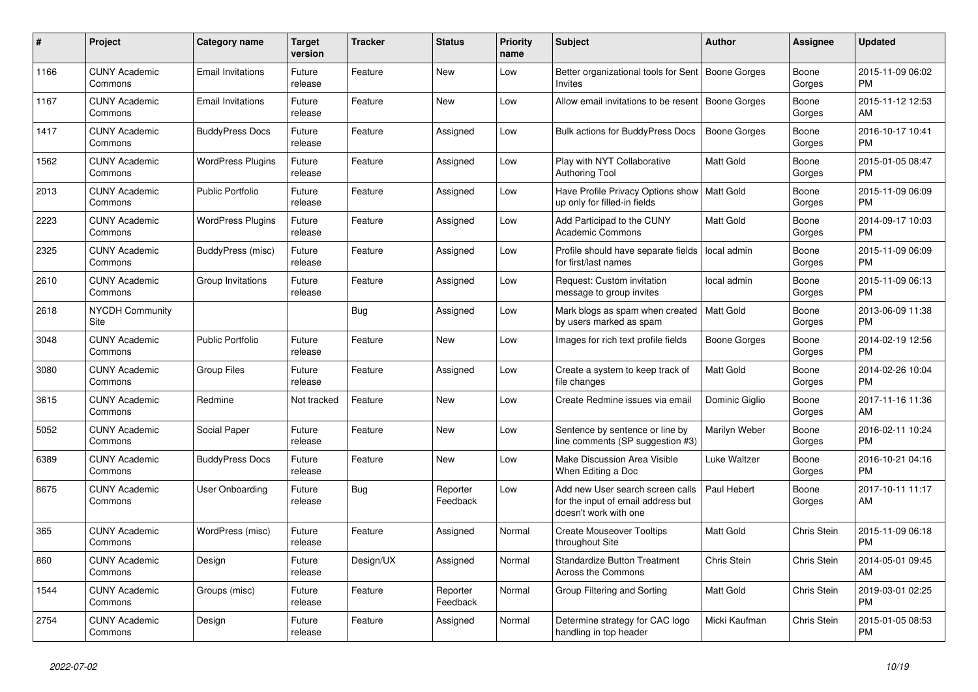| #    | Project                         | <b>Category name</b>     | Target<br>version | <b>Tracker</b> | <b>Status</b>        | <b>Priority</b><br>name | <b>Subject</b>                                                                                  | <b>Author</b>       | Assignee           | <b>Updated</b>                |
|------|---------------------------------|--------------------------|-------------------|----------------|----------------------|-------------------------|-------------------------------------------------------------------------------------------------|---------------------|--------------------|-------------------------------|
| 1166 | <b>CUNY Academic</b><br>Commons | <b>Email Invitations</b> | Future<br>release | Feature        | New                  | Low                     | Better organizational tools for Sent   Boone Gorges<br>Invites                                  |                     | Boone<br>Gorges    | 2015-11-09 06:02<br><b>PM</b> |
| 1167 | <b>CUNY Academic</b><br>Commons | <b>Email Invitations</b> | Future<br>release | Feature        | <b>New</b>           | Low                     | Allow email invitations to be resent   Boone Gorges                                             |                     | Boone<br>Gorges    | 2015-11-12 12:53<br>AM        |
| 1417 | <b>CUNY Academic</b><br>Commons | <b>BuddyPress Docs</b>   | Future<br>release | Feature        | Assigned             | Low                     | Bulk actions for BuddyPress Docs                                                                | Boone Gorges        | Boone<br>Gorges    | 2016-10-17 10:41<br><b>PM</b> |
| 1562 | <b>CUNY Academic</b><br>Commons | <b>WordPress Plugins</b> | Future<br>release | Feature        | Assigned             | Low                     | Play with NYT Collaborative<br><b>Authoring Tool</b>                                            | Matt Gold           | Boone<br>Gorges    | 2015-01-05 08:47<br><b>PM</b> |
| 2013 | <b>CUNY Academic</b><br>Commons | <b>Public Portfolio</b>  | Future<br>release | Feature        | Assigned             | Low                     | Have Profile Privacy Options show   Matt Gold<br>up only for filled-in fields                   |                     | Boone<br>Gorges    | 2015-11-09 06:09<br><b>PM</b> |
| 2223 | <b>CUNY Academic</b><br>Commons | <b>WordPress Plugins</b> | Future<br>release | Feature        | Assigned             | Low                     | Add Participad to the CUNY<br>Academic Commons                                                  | Matt Gold           | Boone<br>Gorges    | 2014-09-17 10:03<br><b>PM</b> |
| 2325 | <b>CUNY Academic</b><br>Commons | BuddyPress (misc)        | Future<br>release | Feature        | Assigned             | Low                     | Profile should have separate fields<br>for first/last names                                     | local admin         | Boone<br>Gorges    | 2015-11-09 06:09<br><b>PM</b> |
| 2610 | <b>CUNY Academic</b><br>Commons | Group Invitations        | Future<br>release | Feature        | Assigned             | Low                     | Request: Custom invitation<br>message to group invites                                          | local admin         | Boone<br>Gorges    | 2015-11-09 06:13<br><b>PM</b> |
| 2618 | <b>NYCDH Community</b><br>Site  |                          |                   | Bug            | Assigned             | Low                     | Mark blogs as spam when created<br>by users marked as spam                                      | Matt Gold           | Boone<br>Gorges    | 2013-06-09 11:38<br><b>PM</b> |
| 3048 | <b>CUNY Academic</b><br>Commons | <b>Public Portfolio</b>  | Future<br>release | Feature        | New                  | Low                     | Images for rich text profile fields                                                             | <b>Boone Gorges</b> | Boone<br>Gorges    | 2014-02-19 12:56<br><b>PM</b> |
| 3080 | <b>CUNY Academic</b><br>Commons | <b>Group Files</b>       | Future<br>release | Feature        | Assigned             | Low                     | Create a system to keep track of<br>file changes                                                | Matt Gold           | Boone<br>Gorges    | 2014-02-26 10:04<br><b>PM</b> |
| 3615 | <b>CUNY Academic</b><br>Commons | Redmine                  | Not tracked       | Feature        | New                  | Low                     | Create Redmine issues via email                                                                 | Dominic Giglio      | Boone<br>Gorges    | 2017-11-16 11:36<br>AM        |
| 5052 | <b>CUNY Academic</b><br>Commons | Social Paper             | Future<br>release | Feature        | New                  | Low                     | Sentence by sentence or line by<br>line comments (SP suggestion #3)                             | Marilyn Weber       | Boone<br>Gorges    | 2016-02-11 10:24<br><b>PM</b> |
| 6389 | <b>CUNY Academic</b><br>Commons | <b>BuddyPress Docs</b>   | Future<br>release | Feature        | <b>New</b>           | Low                     | Make Discussion Area Visible<br>When Editing a Doc                                              | Luke Waltzer        | Boone<br>Gorges    | 2016-10-21 04:16<br><b>PM</b> |
| 8675 | <b>CUNY Academic</b><br>Commons | <b>User Onboarding</b>   | Future<br>release | <b>Bug</b>     | Reporter<br>Feedback | Low                     | Add new User search screen calls<br>for the input of email address but<br>doesn't work with one | Paul Hebert         | Boone<br>Gorges    | 2017-10-11 11:17<br>AM        |
| 365  | <b>CUNY Academic</b><br>Commons | WordPress (misc)         | Future<br>release | Feature        | Assigned             | Normal                  | <b>Create Mouseover Tooltips</b><br>throughout Site                                             | Matt Gold           | Chris Stein        | 2015-11-09 06:18<br><b>PM</b> |
| 860  | <b>CUNY Academic</b><br>Commons | Design                   | Future<br>release | Design/UX      | Assigned             | Normal                  | <b>Standardize Button Treatment</b><br><b>Across the Commons</b>                                | Chris Stein         | Chris Stein        | 2014-05-01 09:45<br>AM        |
| 1544 | <b>CUNY Academic</b><br>Commons | Groups (misc)            | Future<br>release | Feature        | Reporter<br>Feedback | Normal                  | Group Filtering and Sorting                                                                     | <b>Matt Gold</b>    | Chris Stein        | 2019-03-01 02:25<br><b>PM</b> |
| 2754 | <b>CUNY Academic</b><br>Commons | Design                   | Future<br>release | Feature        | Assigned             | Normal                  | Determine strategy for CAC logo<br>handling in top header                                       | Micki Kaufman       | <b>Chris Stein</b> | 2015-01-05 08:53<br><b>PM</b> |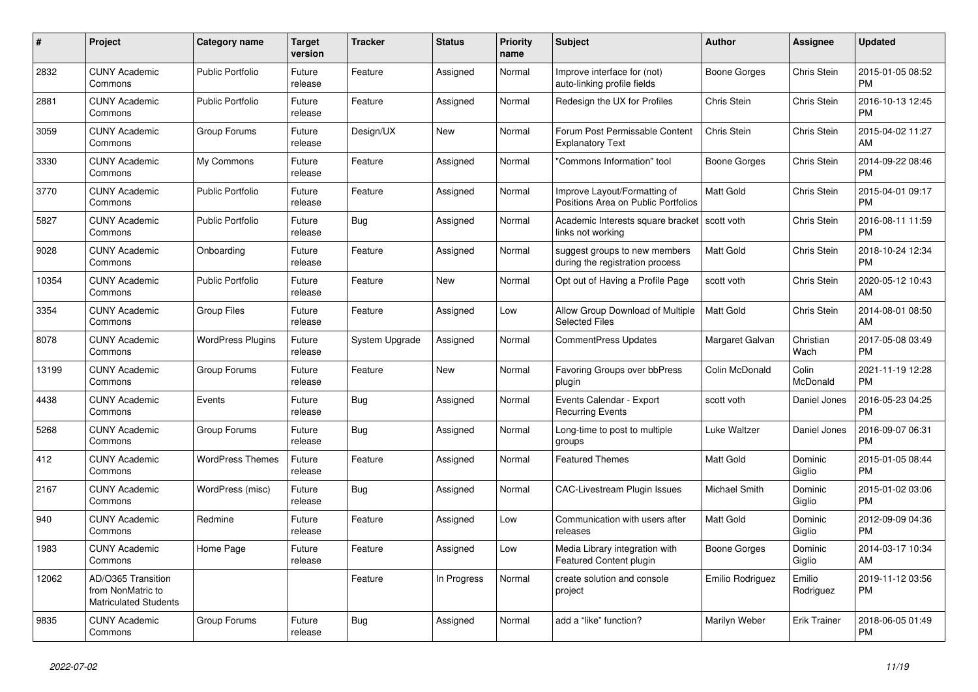| #     | Project                                                                 | Category name            | <b>Target</b><br>version | <b>Tracker</b> | <b>Status</b> | <b>Priority</b><br>name | <b>Subject</b>                                                      | <b>Author</b>    | Assignee            | <b>Updated</b>                |
|-------|-------------------------------------------------------------------------|--------------------------|--------------------------|----------------|---------------|-------------------------|---------------------------------------------------------------------|------------------|---------------------|-------------------------------|
| 2832  | <b>CUNY Academic</b><br>Commons                                         | <b>Public Portfolio</b>  | Future<br>release        | Feature        | Assigned      | Normal                  | Improve interface for (not)<br>auto-linking profile fields          | Boone Gorges     | Chris Stein         | 2015-01-05 08:52<br><b>PM</b> |
| 2881  | <b>CUNY Academic</b><br>Commons                                         | <b>Public Portfolio</b>  | Future<br>release        | Feature        | Assigned      | Normal                  | Redesign the UX for Profiles                                        | Chris Stein      | Chris Stein         | 2016-10-13 12:45<br><b>PM</b> |
| 3059  | <b>CUNY Academic</b><br>Commons                                         | Group Forums             | Future<br>release        | Design/UX      | New           | Normal                  | Forum Post Permissable Content<br><b>Explanatory Text</b>           | Chris Stein      | Chris Stein         | 2015-04-02 11:27<br>AM        |
| 3330  | <b>CUNY Academic</b><br>Commons                                         | My Commons               | Future<br>release        | Feature        | Assigned      | Normal                  | "Commons Information" tool                                          | Boone Gorges     | Chris Stein         | 2014-09-22 08:46<br><b>PM</b> |
| 3770  | <b>CUNY Academic</b><br>Commons                                         | <b>Public Portfolio</b>  | Future<br>release        | Feature        | Assigned      | Normal                  | Improve Layout/Formatting of<br>Positions Area on Public Portfolios | Matt Gold        | Chris Stein         | 2015-04-01 09:17<br><b>PM</b> |
| 5827  | <b>CUNY Academic</b><br>Commons                                         | <b>Public Portfolio</b>  | Future<br>release        | Bug            | Assigned      | Normal                  | Academic Interests square bracket<br>links not working              | scott voth       | Chris Stein         | 2016-08-11 11:59<br><b>PM</b> |
| 9028  | <b>CUNY Academic</b><br>Commons                                         | Onboarding               | Future<br>release        | Feature        | Assigned      | Normal                  | suggest groups to new members<br>during the registration process    | <b>Matt Gold</b> | Chris Stein         | 2018-10-24 12:34<br><b>PM</b> |
| 10354 | <b>CUNY Academic</b><br>Commons                                         | <b>Public Portfolio</b>  | Future<br>release        | Feature        | New           | Normal                  | Opt out of Having a Profile Page                                    | scott voth       | Chris Stein         | 2020-05-12 10:43<br>AM        |
| 3354  | <b>CUNY Academic</b><br>Commons                                         | Group Files              | Future<br>release        | Feature        | Assigned      | Low                     | Allow Group Download of Multiple<br><b>Selected Files</b>           | <b>Matt Gold</b> | Chris Stein         | 2014-08-01 08:50<br>AM        |
| 8078  | <b>CUNY Academic</b><br>Commons                                         | <b>WordPress Plugins</b> | Future<br>release        | System Upgrade | Assigned      | Normal                  | <b>CommentPress Updates</b>                                         | Margaret Galvan  | Christian<br>Wach   | 2017-05-08 03:49<br><b>PM</b> |
| 13199 | <b>CUNY Academic</b><br>Commons                                         | Group Forums             | Future<br>release        | Feature        | New           | Normal                  | Favoring Groups over bbPress<br>plugin                              | Colin McDonald   | Colin<br>McDonald   | 2021-11-19 12:28<br><b>PM</b> |
| 4438  | <b>CUNY Academic</b><br>Commons                                         | Events                   | Future<br>release        | Bug            | Assigned      | Normal                  | Events Calendar - Export<br><b>Recurring Events</b>                 | scott voth       | Daniel Jones        | 2016-05-23 04:25<br><b>PM</b> |
| 5268  | <b>CUNY Academic</b><br>Commons                                         | Group Forums             | Future<br>release        | Bug            | Assigned      | Normal                  | Long-time to post to multiple<br>groups                             | Luke Waltzer     | Daniel Jones        | 2016-09-07 06:31<br><b>PM</b> |
| 412   | <b>CUNY Academic</b><br>Commons                                         | <b>WordPress Themes</b>  | Future<br>release        | Feature        | Assigned      | Normal                  | <b>Featured Themes</b>                                              | <b>Matt Gold</b> | Dominic<br>Giglio   | 2015-01-05 08:44<br><b>PM</b> |
| 2167  | <b>CUNY Academic</b><br>Commons                                         | WordPress (misc)         | Future<br>release        | Bug            | Assigned      | Normal                  | CAC-Livestream Plugin Issues                                        | Michael Smith    | Dominic<br>Giglio   | 2015-01-02 03:06<br><b>PM</b> |
| 940   | <b>CUNY Academic</b><br>Commons                                         | Redmine                  | Future<br>release        | Feature        | Assigned      | Low                     | Communication with users after<br>releases                          | <b>Matt Gold</b> | Dominic<br>Giglio   | 2012-09-09 04:36<br><b>PM</b> |
| 1983  | <b>CUNY Academic</b><br>Commons                                         | Home Page                | Future<br>release        | Feature        | Assigned      | Low                     | Media Library integration with<br>Featured Content plugin           | Boone Gorges     | Dominic<br>Giglio   | 2014-03-17 10:34<br>AM        |
| 12062 | AD/O365 Transition<br>from NonMatric to<br><b>Matriculated Students</b> |                          |                          | Feature        | In Progress   | Normal                  | create solution and console<br>project                              | Emilio Rodriguez | Emilio<br>Rodriguez | 2019-11-12 03:56<br><b>PM</b> |
| 9835  | <b>CUNY Academic</b><br>Commons                                         | Group Forums             | Future<br>release        | Bug            | Assigned      | Normal                  | add a "like" function?                                              | Marilyn Weber    | <b>Erik Trainer</b> | 2018-06-05 01:49<br><b>PM</b> |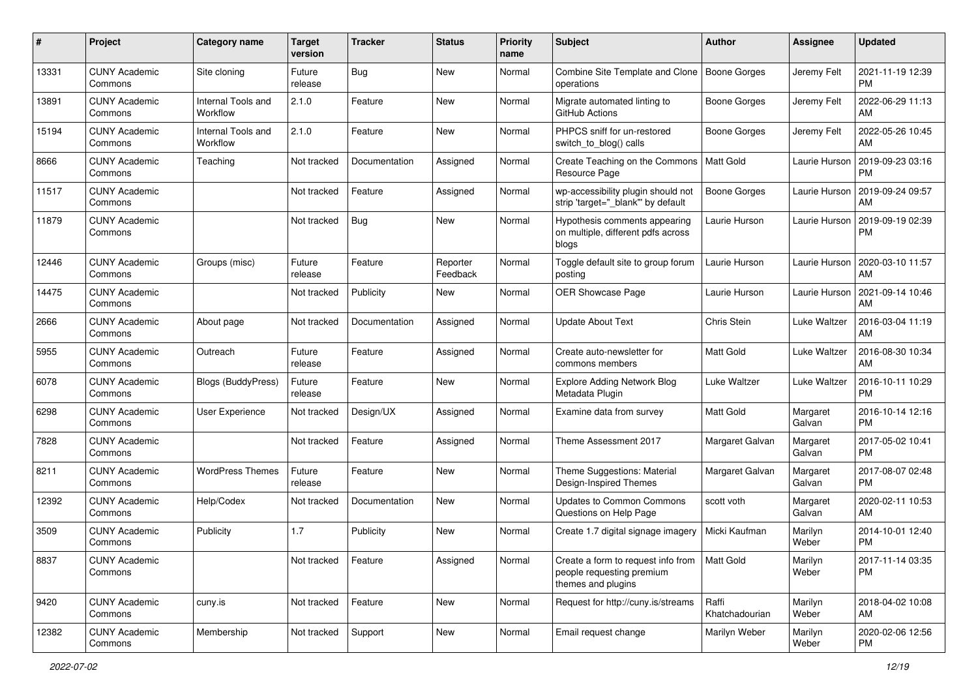| #     | Project                         | <b>Category name</b>           | <b>Target</b><br>version | <b>Tracker</b> | <b>Status</b>        | <b>Priority</b><br>name | <b>Subject</b>                                                                        | <b>Author</b>           | <b>Assignee</b>    | <b>Updated</b>                |
|-------|---------------------------------|--------------------------------|--------------------------|----------------|----------------------|-------------------------|---------------------------------------------------------------------------------------|-------------------------|--------------------|-------------------------------|
| 13331 | <b>CUNY Academic</b><br>Commons | Site cloning                   | Future<br>release        | Bug            | <b>New</b>           | Normal                  | Combine Site Template and Clone<br>operations                                         | Boone Gorges            | Jeremy Felt        | 2021-11-19 12:39<br><b>PM</b> |
| 13891 | <b>CUNY Academic</b><br>Commons | Internal Tools and<br>Workflow | 2.1.0                    | Feature        | New                  | Normal                  | Migrate automated linting to<br>GitHub Actions                                        | Boone Gorges            | Jeremy Felt        | 2022-06-29 11:13<br>AM.       |
| 15194 | <b>CUNY Academic</b><br>Commons | Internal Tools and<br>Workflow | 2.1.0                    | Feature        | New                  | Normal                  | PHPCS sniff for un-restored<br>switch_to_blog() calls                                 | Boone Gorges            | Jeremy Felt        | 2022-05-26 10:45<br>AM        |
| 8666  | <b>CUNY Academic</b><br>Commons | Teaching                       | Not tracked              | Documentation  | Assigned             | Normal                  | Create Teaching on the Commons<br>Resource Page                                       | Matt Gold               | Laurie Hurson      | 2019-09-23 03:16<br><b>PM</b> |
| 11517 | <b>CUNY Academic</b><br>Commons |                                | Not tracked              | Feature        | Assigned             | Normal                  | wp-accessibility plugin should not<br>strip 'target=" blank" by default               | Boone Gorges            | Laurie Hurson      | 2019-09-24 09:57<br>AM        |
| 11879 | <b>CUNY Academic</b><br>Commons |                                | Not tracked              | Bug            | New                  | Normal                  | Hypothesis comments appearing<br>on multiple, different pdfs across<br>blogs          | Laurie Hurson           | Laurie Hurson      | 2019-09-19 02:39<br><b>PM</b> |
| 12446 | <b>CUNY Academic</b><br>Commons | Groups (misc)                  | Future<br>release        | Feature        | Reporter<br>Feedback | Normal                  | Toggle default site to group forum<br>posting                                         | Laurie Hurson           | Laurie Hurson      | 2020-03-10 11:57<br>AM        |
| 14475 | <b>CUNY Academic</b><br>Commons |                                | Not tracked              | Publicity      | New                  | Normal                  | OER Showcase Page                                                                     | Laurie Hurson           | Laurie Hurson      | 2021-09-14 10:46<br>AM        |
| 2666  | <b>CUNY Academic</b><br>Commons | About page                     | Not tracked              | Documentation  | Assigned             | Normal                  | <b>Update About Text</b>                                                              | Chris Stein             | Luke Waltzer       | 2016-03-04 11:19<br>AM.       |
| 5955  | <b>CUNY Academic</b><br>Commons | Outreach                       | Future<br>release        | Feature        | Assigned             | Normal                  | Create auto-newsletter for<br>commons members                                         | <b>Matt Gold</b>        | Luke Waltzer       | 2016-08-30 10:34<br>AM        |
| 6078  | <b>CUNY Academic</b><br>Commons | Blogs (BuddyPress)             | Future<br>release        | Feature        | <b>New</b>           | Normal                  | <b>Explore Adding Network Blog</b><br>Metadata Plugin                                 | Luke Waltzer            | Luke Waltzer       | 2016-10-11 10:29<br><b>PM</b> |
| 6298  | <b>CUNY Academic</b><br>Commons | User Experience                | Not tracked              | Design/UX      | Assigned             | Normal                  | Examine data from survey                                                              | <b>Matt Gold</b>        | Margaret<br>Galvan | 2016-10-14 12:16<br><b>PM</b> |
| 7828  | <b>CUNY Academic</b><br>Commons |                                | Not tracked              | Feature        | Assigned             | Normal                  | Theme Assessment 2017                                                                 | Margaret Galvan         | Margaret<br>Galvan | 2017-05-02 10:41<br><b>PM</b> |
| 8211  | <b>CUNY Academic</b><br>Commons | <b>WordPress Themes</b>        | Future<br>release        | Feature        | New                  | Normal                  | Theme Suggestions: Material<br>Design-Inspired Themes                                 | Margaret Galvan         | Margaret<br>Galvan | 2017-08-07 02:48<br><b>PM</b> |
| 12392 | <b>CUNY Academic</b><br>Commons | Help/Codex                     | Not tracked              | Documentation  | New                  | Normal                  | Updates to Common Commons<br>Questions on Help Page                                   | scott voth              | Margaret<br>Galvan | 2020-02-11 10:53<br>AM.       |
| 3509  | <b>CUNY Academic</b><br>Commons | Publicity                      | 1.7                      | Publicity      | New                  | Normal                  | Create 1.7 digital signage imagery                                                    | Micki Kaufman           | Marilyn<br>Weber   | 2014-10-01 12:40<br>PM        |
| 8837  | <b>CUNY Academic</b><br>Commons |                                | Not tracked              | Feature        | Assigned             | Normal                  | Create a form to request info from<br>people requesting premium<br>themes and plugins | Matt Gold               | Marilyn<br>Weber   | 2017-11-14 03:35<br><b>PM</b> |
| 9420  | <b>CUNY Academic</b><br>Commons | cuny.is                        | Not tracked              | Feature        | New                  | Normal                  | Request for http://cuny.is/streams                                                    | Raffi<br>Khatchadourian | Marilyn<br>Weber   | 2018-04-02 10:08<br>AM        |
| 12382 | <b>CUNY Academic</b><br>Commons | Membership                     | Not tracked              | Support        | New                  | Normal                  | Email request change                                                                  | Marilyn Weber           | Marilyn<br>Weber   | 2020-02-06 12:56<br><b>PM</b> |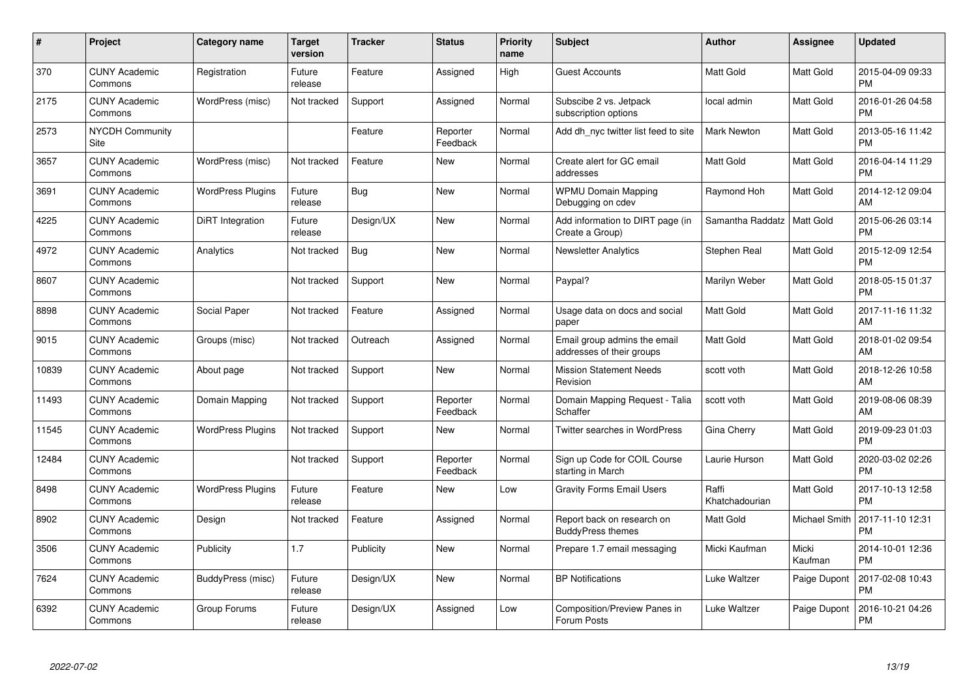| $\#$  | Project                         | <b>Category name</b>     | Target<br>version | <b>Tracker</b> | <b>Status</b>        | Priority<br>name | <b>Subject</b>                                            | <b>Author</b>           | <b>Assignee</b>  | <b>Updated</b>                |
|-------|---------------------------------|--------------------------|-------------------|----------------|----------------------|------------------|-----------------------------------------------------------|-------------------------|------------------|-------------------------------|
| 370   | <b>CUNY Academic</b><br>Commons | Registration             | Future<br>release | Feature        | Assigned             | High             | <b>Guest Accounts</b>                                     | <b>Matt Gold</b>        | Matt Gold        | 2015-04-09 09:33<br><b>PM</b> |
| 2175  | <b>CUNY Academic</b><br>Commons | WordPress (misc)         | Not tracked       | Support        | Assigned             | Normal           | Subscibe 2 vs. Jetpack<br>subscription options            | local admin             | Matt Gold        | 2016-01-26 04:58<br><b>PM</b> |
| 2573  | <b>NYCDH Community</b><br>Site  |                          |                   | Feature        | Reporter<br>Feedback | Normal           | Add dh nyc twitter list feed to site                      | Mark Newton             | Matt Gold        | 2013-05-16 11:42<br><b>PM</b> |
| 3657  | <b>CUNY Academic</b><br>Commons | WordPress (misc)         | Not tracked       | Feature        | <b>New</b>           | Normal           | Create alert for GC email<br>addresses                    | <b>Matt Gold</b>        | Matt Gold        | 2016-04-14 11:29<br><b>PM</b> |
| 3691  | <b>CUNY Academic</b><br>Commons | <b>WordPress Plugins</b> | Future<br>release | Bug            | <b>New</b>           | Normal           | <b>WPMU Domain Mapping</b><br>Debugging on cdev           | Raymond Hoh             | Matt Gold        | 2014-12-12 09:04<br>AM        |
| 4225  | <b>CUNY Academic</b><br>Commons | DiRT Integration         | Future<br>release | Design/UX      | <b>New</b>           | Normal           | Add information to DIRT page (in<br>Create a Group)       | Samantha Raddatz        | <b>Matt Gold</b> | 2015-06-26 03:14<br><b>PM</b> |
| 4972  | <b>CUNY Academic</b><br>Commons | Analytics                | Not tracked       | Bug            | <b>New</b>           | Normal           | <b>Newsletter Analytics</b>                               | Stephen Real            | Matt Gold        | 2015-12-09 12:54<br><b>PM</b> |
| 8607  | <b>CUNY Academic</b><br>Commons |                          | Not tracked       | Support        | <b>New</b>           | Normal           | Paypal?                                                   | Marilyn Weber           | Matt Gold        | 2018-05-15 01:37<br><b>PM</b> |
| 8898  | <b>CUNY Academic</b><br>Commons | Social Paper             | Not tracked       | Feature        | Assigned             | Normal           | Usage data on docs and social<br>paper                    | <b>Matt Gold</b>        | Matt Gold        | 2017-11-16 11:32<br>AM        |
| 9015  | <b>CUNY Academic</b><br>Commons | Groups (misc)            | Not tracked       | Outreach       | Assigned             | Normal           | Email group admins the email<br>addresses of their groups | <b>Matt Gold</b>        | Matt Gold        | 2018-01-02 09:54<br>AM        |
| 10839 | <b>CUNY Academic</b><br>Commons | About page               | Not tracked       | Support        | New                  | Normal           | <b>Mission Statement Needs</b><br>Revision                | scott voth              | Matt Gold        | 2018-12-26 10:58<br>AM        |
| 11493 | <b>CUNY Academic</b><br>Commons | Domain Mapping           | Not tracked       | Support        | Reporter<br>Feedback | Normal           | Domain Mapping Request - Talia<br>Schaffer                | scott voth              | Matt Gold        | 2019-08-06 08:39<br>AM        |
| 11545 | <b>CUNY Academic</b><br>Commons | <b>WordPress Plugins</b> | Not tracked       | Support        | New                  | Normal           | <b>Twitter searches in WordPress</b>                      | Gina Cherry             | Matt Gold        | 2019-09-23 01:03<br><b>PM</b> |
| 12484 | <b>CUNY Academic</b><br>Commons |                          | Not tracked       | Support        | Reporter<br>Feedback | Normal           | Sign up Code for COIL Course<br>starting in March         | Laurie Hurson           | Matt Gold        | 2020-03-02 02:26<br><b>PM</b> |
| 8498  | <b>CUNY Academic</b><br>Commons | <b>WordPress Plugins</b> | Future<br>release | Feature        | New                  | Low              | <b>Gravity Forms Email Users</b>                          | Raffi<br>Khatchadourian | Matt Gold        | 2017-10-13 12:58<br><b>PM</b> |
| 8902  | <b>CUNY Academic</b><br>Commons | Design                   | Not tracked       | Feature        | Assigned             | Normal           | Report back on research on<br><b>BuddyPress themes</b>    | Matt Gold               | Michael Smith    | 2017-11-10 12:31<br><b>PM</b> |
| 3506  | <b>CUNY Academic</b><br>Commons | Publicity                | 1.7               | Publicity      | New                  | Normal           | Prepare 1.7 email messaging                               | Micki Kaufman           | Micki<br>Kaufman | 2014-10-01 12:36<br><b>PM</b> |
| 7624  | <b>CUNY Academic</b><br>Commons | BuddyPress (misc)        | Future<br>release | Design/UX      | New                  | Normal           | <b>BP</b> Notifications                                   | Luke Waltzer            | Paige Dupont     | 2017-02-08 10:43<br><b>PM</b> |
| 6392  | <b>CUNY Academic</b><br>Commons | Group Forums             | Future<br>release | Design/UX      | Assigned             | Low              | Composition/Preview Panes in<br>Forum Posts               | Luke Waltzer            | Paige Dupont     | 2016-10-21 04:26<br><b>PM</b> |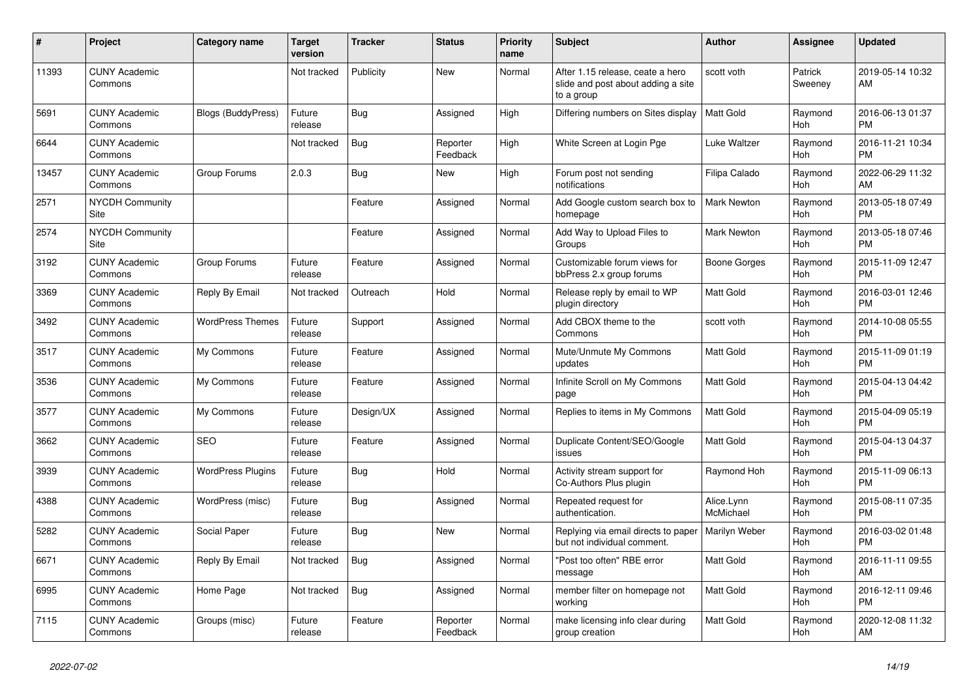| #     | Project                         | <b>Category name</b>      | <b>Target</b><br>version | <b>Tracker</b> | <b>Status</b>        | <b>Priority</b><br>name | <b>Subject</b>                                                                       | <b>Author</b>           | <b>Assignee</b>    | <b>Updated</b>                |
|-------|---------------------------------|---------------------------|--------------------------|----------------|----------------------|-------------------------|--------------------------------------------------------------------------------------|-------------------------|--------------------|-------------------------------|
| 11393 | <b>CUNY Academic</b><br>Commons |                           | Not tracked              | Publicity      | New                  | Normal                  | After 1.15 release, ceate a hero<br>slide and post about adding a site<br>to a group | scott voth              | Patrick<br>Sweeney | 2019-05-14 10:32<br>AM        |
| 5691  | <b>CUNY Academic</b><br>Commons | <b>Blogs (BuddyPress)</b> | Future<br>release        | <b>Bug</b>     | Assigned             | High                    | Differing numbers on Sites display                                                   | <b>Matt Gold</b>        | Raymond<br>Hoh     | 2016-06-13 01:37<br><b>PM</b> |
| 6644  | <b>CUNY Academic</b><br>Commons |                           | Not tracked              | <b>Bug</b>     | Reporter<br>Feedback | High                    | White Screen at Login Pge                                                            | Luke Waltzer            | Raymond<br>Hoh     | 2016-11-21 10:34<br><b>PM</b> |
| 13457 | <b>CUNY Academic</b><br>Commons | Group Forums              | 2.0.3                    | Bug            | New                  | High                    | Forum post not sending<br>notifications                                              | Filipa Calado           | Raymond<br>Hoh     | 2022-06-29 11:32<br>AM        |
| 2571  | <b>NYCDH Community</b><br>Site  |                           |                          | Feature        | Assigned             | Normal                  | Add Google custom search box to<br>homepage                                          | <b>Mark Newton</b>      | Raymond<br>Hoh     | 2013-05-18 07:49<br><b>PM</b> |
| 2574  | <b>NYCDH Community</b><br>Site  |                           |                          | Feature        | Assigned             | Normal                  | Add Way to Upload Files to<br>Groups                                                 | <b>Mark Newton</b>      | Raymond<br>Hoh     | 2013-05-18 07:46<br><b>PM</b> |
| 3192  | <b>CUNY Academic</b><br>Commons | Group Forums              | Future<br>release        | Feature        | Assigned             | Normal                  | Customizable forum views for<br>bbPress 2.x group forums                             | Boone Gorges            | Raymond<br>Hoh     | 2015-11-09 12:47<br><b>PM</b> |
| 3369  | <b>CUNY Academic</b><br>Commons | Reply By Email            | Not tracked              | Outreach       | Hold                 | Normal                  | Release reply by email to WP<br>plugin directory                                     | <b>Matt Gold</b>        | Raymond<br>Hoh     | 2016-03-01 12:46<br><b>PM</b> |
| 3492  | <b>CUNY Academic</b><br>Commons | <b>WordPress Themes</b>   | Future<br>release        | Support        | Assigned             | Normal                  | Add CBOX theme to the<br>Commons                                                     | scott voth              | Raymond<br>Hoh     | 2014-10-08 05:55<br><b>PM</b> |
| 3517  | <b>CUNY Academic</b><br>Commons | My Commons                | Future<br>release        | Feature        | Assigned             | Normal                  | Mute/Unmute My Commons<br>updates                                                    | <b>Matt Gold</b>        | Raymond<br>Hoh     | 2015-11-09 01:19<br><b>PM</b> |
| 3536  | <b>CUNY Academic</b><br>Commons | My Commons                | Future<br>release        | Feature        | Assigned             | Normal                  | Infinite Scroll on My Commons<br>page                                                | <b>Matt Gold</b>        | Raymond<br>Hoh     | 2015-04-13 04:42<br><b>PM</b> |
| 3577  | <b>CUNY Academic</b><br>Commons | My Commons                | Future<br>release        | Design/UX      | Assigned             | Normal                  | Replies to items in My Commons                                                       | <b>Matt Gold</b>        | Raymond<br>Hoh     | 2015-04-09 05:19<br><b>PM</b> |
| 3662  | <b>CUNY Academic</b><br>Commons | <b>SEO</b>                | Future<br>release        | Feature        | Assigned             | Normal                  | Duplicate Content/SEO/Google<br>issues                                               | <b>Matt Gold</b>        | Raymond<br>Hoh     | 2015-04-13 04:37<br><b>PM</b> |
| 3939  | <b>CUNY Academic</b><br>Commons | <b>WordPress Plugins</b>  | Future<br>release        | Bug            | Hold                 | Normal                  | Activity stream support for<br>Co-Authors Plus plugin                                | Raymond Hoh             | Raymond<br>Hoh     | 2015-11-09 06:13<br><b>PM</b> |
| 4388  | <b>CUNY Academic</b><br>Commons | WordPress (misc)          | Future<br>release        | Bug            | Assigned             | Normal                  | Repeated request for<br>authentication.                                              | Alice.Lynn<br>McMichael | Raymond<br>Hoh     | 2015-08-11 07:35<br><b>PM</b> |
| 5282  | <b>CUNY Academic</b><br>Commons | Social Paper              | Future<br>release        | <b>Bug</b>     | New                  | Normal                  | Replying via email directs to paper<br>but not individual comment.                   | Marilyn Weber           | Raymond<br>Hoh     | 2016-03-02 01:48<br><b>PM</b> |
| 6671  | <b>CUNY Academic</b><br>Commons | Reply By Email            | Not tracked              | <b>Bug</b>     | Assigned             | Normal                  | "Post too often" RBE error<br>message                                                | <b>Matt Gold</b>        | Raymond<br>Hoh     | 2016-11-11 09:55<br>AM        |
| 6995  | <b>CUNY Academic</b><br>Commons | Home Page                 | Not tracked              | Bug            | Assigned             | Normal                  | member filter on homepage not<br>working                                             | <b>Matt Gold</b>        | Raymond<br>Hoh     | 2016-12-11 09:46<br><b>PM</b> |
| 7115  | <b>CUNY Academic</b><br>Commons | Groups (misc)             | Future<br>release        | Feature        | Reporter<br>Feedback | Normal                  | make licensing info clear during<br>group creation                                   | <b>Matt Gold</b>        | Raymond<br>Hoh     | 2020-12-08 11:32<br>AM        |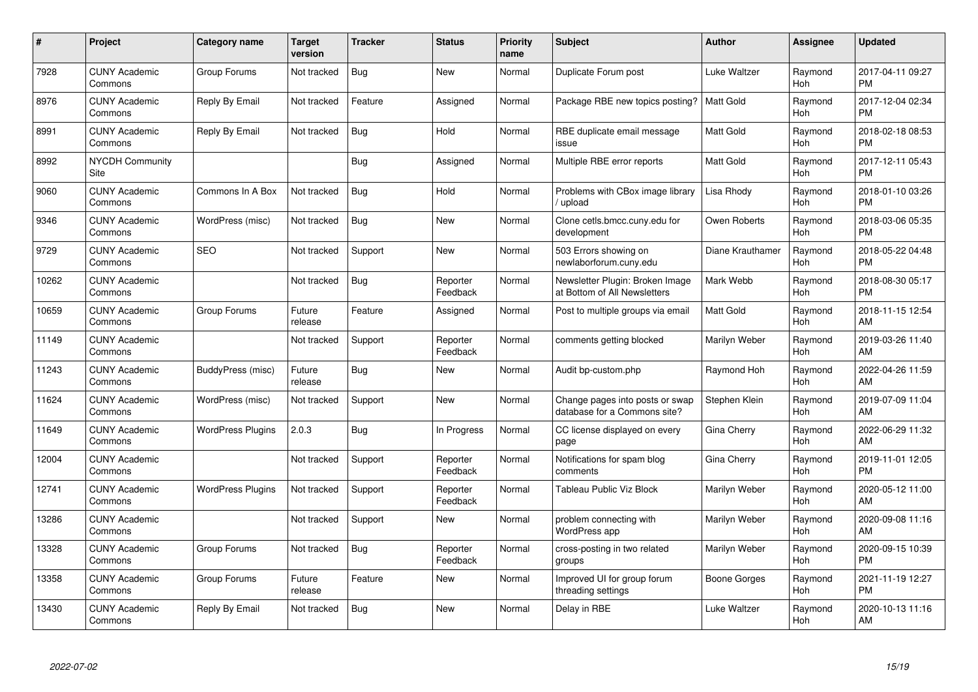| #     | Project                         | <b>Category name</b>     | <b>Target</b><br>version | <b>Tracker</b> | <b>Status</b>        | <b>Priority</b><br>name | <b>Subject</b>                                                  | <b>Author</b>    | <b>Assignee</b> | <b>Updated</b>                |
|-------|---------------------------------|--------------------------|--------------------------|----------------|----------------------|-------------------------|-----------------------------------------------------------------|------------------|-----------------|-------------------------------|
| 7928  | <b>CUNY Academic</b><br>Commons | Group Forums             | Not tracked              | Bug            | <b>New</b>           | Normal                  | Duplicate Forum post                                            | Luke Waltzer     | Raymond<br>Hoh  | 2017-04-11 09:27<br><b>PM</b> |
| 8976  | <b>CUNY Academic</b><br>Commons | Reply By Email           | Not tracked              | Feature        | Assigned             | Normal                  | Package RBE new topics posting?                                 | <b>Matt Gold</b> | Raymond<br>Hoh  | 2017-12-04 02:34<br><b>PM</b> |
| 8991  | <b>CUNY Academic</b><br>Commons | Reply By Email           | Not tracked              | Bug            | Hold                 | Normal                  | RBE duplicate email message<br>issue                            | <b>Matt Gold</b> | Raymond<br>Hoh  | 2018-02-18 08:53<br><b>PM</b> |
| 8992  | <b>NYCDH Community</b><br>Site  |                          |                          | Bug            | Assigned             | Normal                  | Multiple RBE error reports                                      | <b>Matt Gold</b> | Raymond<br>Hoh  | 2017-12-11 05:43<br><b>PM</b> |
| 9060  | <b>CUNY Academic</b><br>Commons | Commons In A Box         | Not tracked              | <b>Bug</b>     | Hold                 | Normal                  | Problems with CBox image library<br>/ upload                    | Lisa Rhody       | Raymond<br>Hoh  | 2018-01-10 03:26<br><b>PM</b> |
| 9346  | <b>CUNY Academic</b><br>Commons | WordPress (misc)         | Not tracked              | Bug            | <b>New</b>           | Normal                  | Clone cetls.bmcc.cuny.edu for<br>development                    | Owen Roberts     | Raymond<br>Hoh  | 2018-03-06 05:35<br><b>PM</b> |
| 9729  | <b>CUNY Academic</b><br>Commons | <b>SEO</b>               | Not tracked              | Support        | New                  | Normal                  | 503 Errors showing on<br>newlaborforum.cuny.edu                 | Diane Krauthamer | Raymond<br>Hoh  | 2018-05-22 04:48<br><b>PM</b> |
| 10262 | <b>CUNY Academic</b><br>Commons |                          | Not tracked              | Bug            | Reporter<br>Feedback | Normal                  | Newsletter Plugin: Broken Image<br>at Bottom of All Newsletters | Mark Webb        | Raymond<br>Hoh  | 2018-08-30 05:17<br><b>PM</b> |
| 10659 | <b>CUNY Academic</b><br>Commons | Group Forums             | Future<br>release        | Feature        | Assigned             | Normal                  | Post to multiple groups via email                               | <b>Matt Gold</b> | Raymond<br>Hoh  | 2018-11-15 12:54<br>AM        |
| 11149 | <b>CUNY Academic</b><br>Commons |                          | Not tracked              | Support        | Reporter<br>Feedback | Normal                  | comments getting blocked                                        | Marilyn Weber    | Raymond<br>Hoh  | 2019-03-26 11:40<br>AM        |
| 11243 | <b>CUNY Academic</b><br>Commons | BuddyPress (misc)        | Future<br>release        | Bug            | New                  | Normal                  | Audit bp-custom.php                                             | Raymond Hoh      | Raymond<br>Hoh  | 2022-04-26 11:59<br>AM        |
| 11624 | <b>CUNY Academic</b><br>Commons | WordPress (misc)         | Not tracked              | Support        | New                  | Normal                  | Change pages into posts or swap<br>database for a Commons site? | Stephen Klein    | Raymond<br>Hoh  | 2019-07-09 11:04<br>AM        |
| 11649 | <b>CUNY Academic</b><br>Commons | <b>WordPress Plugins</b> | 2.0.3                    | Bug            | In Progress          | Normal                  | CC license displayed on every<br>page                           | Gina Cherry      | Raymond<br>Hoh  | 2022-06-29 11:32<br>AM        |
| 12004 | <b>CUNY Academic</b><br>Commons |                          | Not tracked              | Support        | Reporter<br>Feedback | Normal                  | Notifications for spam blog<br>comments                         | Gina Cherry      | Raymond<br>Hoh  | 2019-11-01 12:05<br><b>PM</b> |
| 12741 | <b>CUNY Academic</b><br>Commons | <b>WordPress Plugins</b> | Not tracked              | Support        | Reporter<br>Feedback | Normal                  | Tableau Public Viz Block                                        | Marilyn Weber    | Raymond<br>Hoh  | 2020-05-12 11:00<br>AM        |
| 13286 | <b>CUNY Academic</b><br>Commons |                          | Not tracked              | Support        | New                  | Normal                  | problem connecting with<br>WordPress app                        | Marilyn Weber    | Raymond<br>Hoh  | 2020-09-08 11:16<br>AM        |
| 13328 | <b>CUNY Academic</b><br>Commons | Group Forums             | Not tracked              | Bug            | Reporter<br>Feedback | Normal                  | cross-posting in two related<br>groups                          | Marilyn Weber    | Raymond<br>Hoh  | 2020-09-15 10:39<br><b>PM</b> |
| 13358 | <b>CUNY Academic</b><br>Commons | Group Forums             | Future<br>release        | Feature        | New                  | Normal                  | Improved UI for group forum<br>threading settings               | Boone Gorges     | Raymond<br>Hoh  | 2021-11-19 12:27<br><b>PM</b> |
| 13430 | <b>CUNY Academic</b><br>Commons | Reply By Email           | Not tracked              | Bug            | <b>New</b>           | Normal                  | Delay in RBE                                                    | Luke Waltzer     | Raymond<br>Hoh  | 2020-10-13 11:16<br>AM        |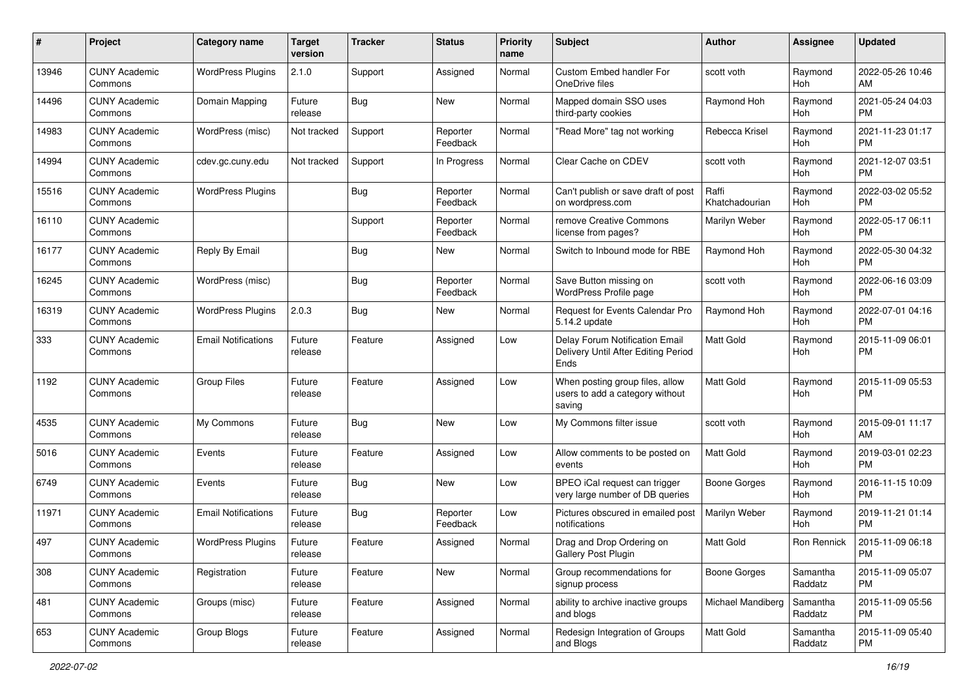| #     | Project                         | <b>Category name</b>       | <b>Target</b><br>version | <b>Tracker</b> | <b>Status</b>        | <b>Priority</b><br>name | Subject                                                                       | Author                  | Assignee            | <b>Updated</b>                |
|-------|---------------------------------|----------------------------|--------------------------|----------------|----------------------|-------------------------|-------------------------------------------------------------------------------|-------------------------|---------------------|-------------------------------|
| 13946 | <b>CUNY Academic</b><br>Commons | <b>WordPress Plugins</b>   | 2.1.0                    | Support        | Assigned             | Normal                  | Custom Embed handler For<br>OneDrive files                                    | scott voth              | Raymond<br>Hoh      | 2022-05-26 10:46<br>AM        |
| 14496 | <b>CUNY Academic</b><br>Commons | Domain Mapping             | Future<br>release        | Bug            | New                  | Normal                  | Mapped domain SSO uses<br>third-party cookies                                 | Raymond Hoh             | Raymond<br>Hoh      | 2021-05-24 04:03<br><b>PM</b> |
| 14983 | CUNY Academic<br>Commons        | WordPress (misc)           | Not tracked              | Support        | Reporter<br>Feedback | Normal                  | "Read More" tag not working                                                   | Rebecca Krisel          | Raymond<br>Hoh      | 2021-11-23 01:17<br><b>PM</b> |
| 14994 | <b>CUNY Academic</b><br>Commons | cdev.gc.cuny.edu           | Not tracked              | Support        | In Progress          | Normal                  | Clear Cache on CDEV                                                           | scott voth              | Raymond<br>Hoh      | 2021-12-07 03:51<br><b>PM</b> |
| 15516 | <b>CUNY Academic</b><br>Commons | <b>WordPress Plugins</b>   |                          | Bug            | Reporter<br>Feedback | Normal                  | Can't publish or save draft of post<br>on wordpress.com                       | Raffi<br>Khatchadourian | Raymond<br>Hoh      | 2022-03-02 05:52<br><b>PM</b> |
| 16110 | <b>CUNY Academic</b><br>Commons |                            |                          | Support        | Reporter<br>Feedback | Normal                  | remove Creative Commons<br>license from pages?                                | Marilyn Weber           | Raymond<br>Hoh      | 2022-05-17 06:11<br><b>PM</b> |
| 16177 | <b>CUNY Academic</b><br>Commons | Reply By Email             |                          | Bug            | New                  | Normal                  | Switch to Inbound mode for RBE                                                | Raymond Hoh             | Raymond<br>Hoh      | 2022-05-30 04:32<br><b>PM</b> |
| 16245 | <b>CUNY Academic</b><br>Commons | WordPress (misc)           |                          | Bug            | Reporter<br>Feedback | Normal                  | Save Button missing on<br>WordPress Profile page                              | scott voth              | Raymond<br>Hoh      | 2022-06-16 03:09<br><b>PM</b> |
| 16319 | <b>CUNY Academic</b><br>Commons | <b>WordPress Plugins</b>   | 2.0.3                    | Bug            | New                  | Normal                  | Request for Events Calendar Pro<br>5.14.2 update                              | Raymond Hoh             | Raymond<br>Hoh      | 2022-07-01 04:16<br><b>PM</b> |
| 333   | <b>CUNY Academic</b><br>Commons | <b>Email Notifications</b> | Future<br>release        | Feature        | Assigned             | Low                     | Delay Forum Notification Email<br>Delivery Until After Editing Period<br>Ends | Matt Gold               | Raymond<br>Hoh      | 2015-11-09 06:01<br><b>PM</b> |
| 1192  | <b>CUNY Academic</b><br>Commons | <b>Group Files</b>         | Future<br>release        | Feature        | Assigned             | Low                     | When posting group files, allow<br>users to add a category without<br>saving  | Matt Gold               | Raymond<br>Hoh      | 2015-11-09 05:53<br><b>PM</b> |
| 4535  | <b>CUNY Academic</b><br>Commons | My Commons                 | Future<br>release        | <b>Bug</b>     | New                  | Low                     | My Commons filter issue                                                       | scott voth              | Raymond<br>Hoh      | 2015-09-01 11:17<br>AM        |
| 5016  | <b>CUNY Academic</b><br>Commons | Events                     | Future<br>release        | Feature        | Assigned             | Low                     | Allow comments to be posted on<br>events                                      | Matt Gold               | Raymond<br>Hoh      | 2019-03-01 02:23<br><b>PM</b> |
| 6749  | <b>CUNY Academic</b><br>Commons | Events                     | Future<br>release        | <b>Bug</b>     | <b>New</b>           | Low                     | BPEO iCal request can trigger<br>very large number of DB queries              | Boone Gorges            | Raymond<br>Hoh      | 2016-11-15 10:09<br><b>PM</b> |
| 11971 | <b>CUNY Academic</b><br>Commons | <b>Email Notifications</b> | Future<br>release        | Bug            | Reporter<br>Feedback | Low                     | Pictures obscured in emailed post<br>notifications                            | Marilyn Weber           | Raymond<br>Hoh      | 2019-11-21 01:14<br><b>PM</b> |
| 497   | <b>CUNY Academic</b><br>Commons | <b>WordPress Plugins</b>   | Future<br>release        | Feature        | Assigned             | Normal                  | Drag and Drop Ordering on<br>Gallery Post Plugin                              | Matt Gold               | Ron Rennick         | 2015-11-09 06:18<br>PM        |
| 308   | <b>CUNY Academic</b><br>Commons | Registration               | Future<br>release        | Feature        | New                  | Normal                  | Group recommendations for<br>signup process                                   | Boone Gorges            | Samantha<br>Raddatz | 2015-11-09 05:07<br><b>PM</b> |
| 481   | <b>CUNY Academic</b><br>Commons | Groups (misc)              | Future<br>release        | Feature        | Assigned             | Normal                  | ability to archive inactive groups<br>and blogs                               | Michael Mandiberg       | Samantha<br>Raddatz | 2015-11-09 05:56<br><b>PM</b> |
| 653   | <b>CUNY Academic</b><br>Commons | Group Blogs                | Future<br>release        | Feature        | Assigned             | Normal                  | Redesign Integration of Groups<br>and Blogs                                   | Matt Gold               | Samantha<br>Raddatz | 2015-11-09 05:40<br><b>PM</b> |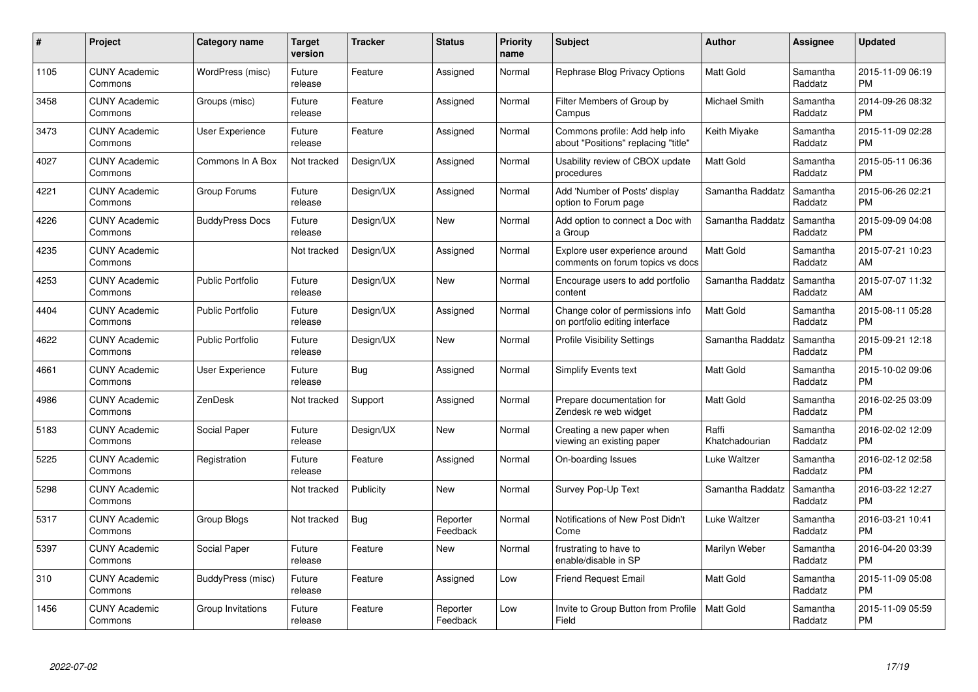| $\#$ | Project                         | <b>Category name</b>    | <b>Target</b><br>version | <b>Tracker</b> | <b>Status</b>        | Priority<br>name | <b>Subject</b>                                                        | <b>Author</b>           | <b>Assignee</b>     | <b>Updated</b>                |
|------|---------------------------------|-------------------------|--------------------------|----------------|----------------------|------------------|-----------------------------------------------------------------------|-------------------------|---------------------|-------------------------------|
| 1105 | <b>CUNY Academic</b><br>Commons | WordPress (misc)        | Future<br>release        | Feature        | Assigned             | Normal           | Rephrase Blog Privacy Options                                         | <b>Matt Gold</b>        | Samantha<br>Raddatz | 2015-11-09 06:19<br><b>PM</b> |
| 3458 | <b>CUNY Academic</b><br>Commons | Groups (misc)           | Future<br>release        | Feature        | Assigned             | Normal           | Filter Members of Group by<br>Campus                                  | Michael Smith           | Samantha<br>Raddatz | 2014-09-26 08:32<br><b>PM</b> |
| 3473 | <b>CUNY Academic</b><br>Commons | <b>User Experience</b>  | Future<br>release        | Feature        | Assigned             | Normal           | Commons profile: Add help info<br>about "Positions" replacing "title" | Keith Miyake            | Samantha<br>Raddatz | 2015-11-09 02:28<br><b>PM</b> |
| 4027 | <b>CUNY Academic</b><br>Commons | Commons In A Box        | Not tracked              | Design/UX      | Assigned             | Normal           | Usability review of CBOX update<br>procedures                         | Matt Gold               | Samantha<br>Raddatz | 2015-05-11 06:36<br><b>PM</b> |
| 4221 | <b>CUNY Academic</b><br>Commons | Group Forums            | Future<br>release        | Design/UX      | Assigned             | Normal           | Add 'Number of Posts' display<br>option to Forum page                 | Samantha Raddatz        | Samantha<br>Raddatz | 2015-06-26 02:21<br><b>PM</b> |
| 4226 | <b>CUNY Academic</b><br>Commons | <b>BuddyPress Docs</b>  | Future<br>release        | Design/UX      | New                  | Normal           | Add option to connect a Doc with<br>a Group                           | Samantha Raddatz        | Samantha<br>Raddatz | 2015-09-09 04:08<br><b>PM</b> |
| 4235 | <b>CUNY Academic</b><br>Commons |                         | Not tracked              | Design/UX      | Assigned             | Normal           | Explore user experience around<br>comments on forum topics vs docs    | <b>Matt Gold</b>        | Samantha<br>Raddatz | 2015-07-21 10:23<br>AM        |
| 4253 | <b>CUNY Academic</b><br>Commons | <b>Public Portfolio</b> | Future<br>release        | Design/UX      | <b>New</b>           | Normal           | Encourage users to add portfolio<br>content                           | Samantha Raddatz        | Samantha<br>Raddatz | 2015-07-07 11:32<br>AM        |
| 4404 | <b>CUNY Academic</b><br>Commons | <b>Public Portfolio</b> | Future<br>release        | Design/UX      | Assigned             | Normal           | Change color of permissions info<br>on portfolio editing interface    | <b>Matt Gold</b>        | Samantha<br>Raddatz | 2015-08-11 05:28<br><b>PM</b> |
| 4622 | <b>CUNY Academic</b><br>Commons | Public Portfolio        | Future<br>release        | Design/UX      | <b>New</b>           | Normal           | <b>Profile Visibility Settings</b>                                    | Samantha Raddatz        | Samantha<br>Raddatz | 2015-09-21 12:18<br><b>PM</b> |
| 4661 | <b>CUNY Academic</b><br>Commons | User Experience         | Future<br>release        | Bug            | Assigned             | Normal           | Simplify Events text                                                  | Matt Gold               | Samantha<br>Raddatz | 2015-10-02 09:06<br><b>PM</b> |
| 4986 | <b>CUNY Academic</b><br>Commons | ZenDesk                 | Not tracked              | Support        | Assigned             | Normal           | Prepare documentation for<br>Zendesk re web widget                    | Matt Gold               | Samantha<br>Raddatz | 2016-02-25 03:09<br><b>PM</b> |
| 5183 | <b>CUNY Academic</b><br>Commons | Social Paper            | Future<br>release        | Design/UX      | <b>New</b>           | Normal           | Creating a new paper when<br>viewing an existing paper                | Raffi<br>Khatchadourian | Samantha<br>Raddatz | 2016-02-02 12:09<br><b>PM</b> |
| 5225 | <b>CUNY Academic</b><br>Commons | Registration            | Future<br>release        | Feature        | Assigned             | Normal           | On-boarding Issues                                                    | Luke Waltzer            | Samantha<br>Raddatz | 2016-02-12 02:58<br><b>PM</b> |
| 5298 | <b>CUNY Academic</b><br>Commons |                         | Not tracked              | Publicity      | New                  | Normal           | Survey Pop-Up Text                                                    | Samantha Raddatz        | Samantha<br>Raddatz | 2016-03-22 12:27<br><b>PM</b> |
| 5317 | <b>CUNY Academic</b><br>Commons | Group Blogs             | Not tracked              | <b>Bug</b>     | Reporter<br>Feedback | Normal           | Notifications of New Post Didn't<br>Come                              | Luke Waltzer            | Samantha<br>Raddatz | 2016-03-21 10:41<br><b>PM</b> |
| 5397 | <b>CUNY Academic</b><br>Commons | Social Paper            | Future<br>release        | Feature        | New                  | Normal           | frustrating to have to<br>enable/disable in SP                        | Marilyn Weber           | Samantha<br>Raddatz | 2016-04-20 03:39<br><b>PM</b> |
| 310  | <b>CUNY Academic</b><br>Commons | BuddyPress (misc)       | Future<br>release        | Feature        | Assigned             | Low              | <b>Friend Request Email</b>                                           | Matt Gold               | Samantha<br>Raddatz | 2015-11-09 05:08<br><b>PM</b> |
| 1456 | <b>CUNY Academic</b><br>Commons | Group Invitations       | Future<br>release        | Feature        | Reporter<br>Feedback | Low              | Invite to Group Button from Profile<br>Field                          | <b>Matt Gold</b>        | Samantha<br>Raddatz | 2015-11-09 05:59<br><b>PM</b> |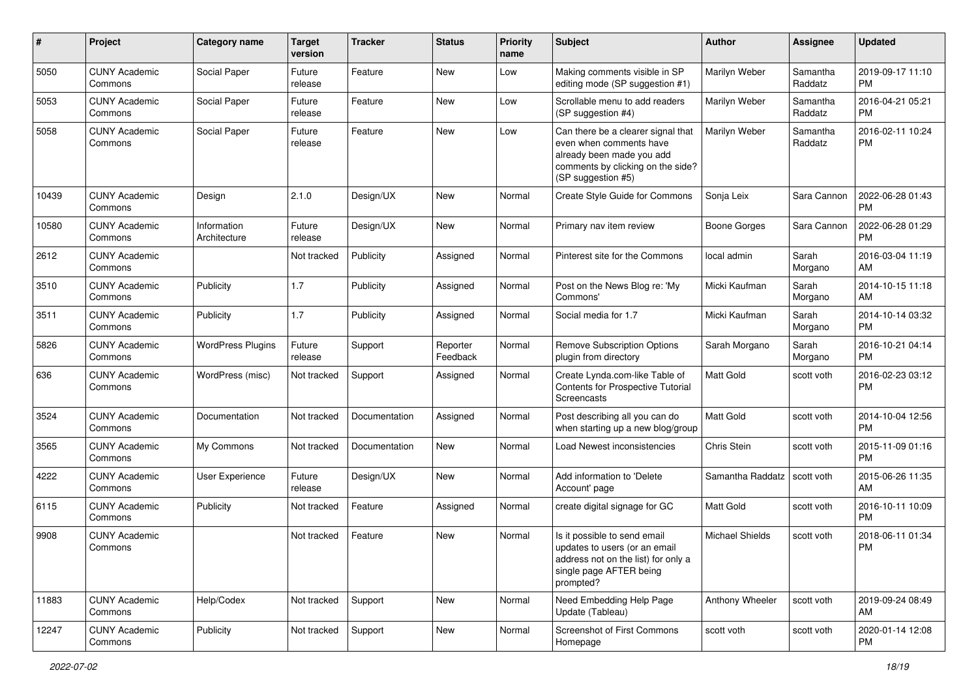| #     | Project                         | Category name               | <b>Target</b><br>version | <b>Tracker</b> | <b>Status</b>        | <b>Priority</b><br>name | Subject                                                                                                                                               | <b>Author</b>          | Assignee            | <b>Updated</b>                |
|-------|---------------------------------|-----------------------------|--------------------------|----------------|----------------------|-------------------------|-------------------------------------------------------------------------------------------------------------------------------------------------------|------------------------|---------------------|-------------------------------|
| 5050  | <b>CUNY Academic</b><br>Commons | Social Paper                | Future<br>release        | Feature        | <b>New</b>           | Low                     | Making comments visible in SP<br>editing mode (SP suggestion #1)                                                                                      | Marilyn Weber          | Samantha<br>Raddatz | 2019-09-17 11:10<br><b>PM</b> |
| 5053  | <b>CUNY Academic</b><br>Commons | Social Paper                | Future<br>release        | Feature        | New                  | Low                     | Scrollable menu to add readers<br>(SP suggestion #4)                                                                                                  | Marilyn Weber          | Samantha<br>Raddatz | 2016-04-21 05:21<br><b>PM</b> |
| 5058  | <b>CUNY Academic</b><br>Commons | Social Paper                | Future<br>release        | Feature        | <b>New</b>           | Low                     | Can there be a clearer signal that<br>even when comments have<br>already been made you add<br>comments by clicking on the side?<br>(SP suggestion #5) | Marilyn Weber          | Samantha<br>Raddatz | 2016-02-11 10:24<br>PM        |
| 10439 | <b>CUNY Academic</b><br>Commons | Design                      | 2.1.0                    | Design/UX      | <b>New</b>           | Normal                  | Create Style Guide for Commons                                                                                                                        | Sonja Leix             | Sara Cannon         | 2022-06-28 01:43<br>PM        |
| 10580 | <b>CUNY Academic</b><br>Commons | Information<br>Architecture | Future<br>release        | Design/UX      | New                  | Normal                  | Primary nav item review                                                                                                                               | Boone Gorges           | Sara Cannon         | 2022-06-28 01:29<br><b>PM</b> |
| 2612  | <b>CUNY Academic</b><br>Commons |                             | Not tracked              | Publicity      | Assigned             | Normal                  | Pinterest site for the Commons                                                                                                                        | local admin            | Sarah<br>Morgano    | 2016-03-04 11:19<br>AM        |
| 3510  | <b>CUNY Academic</b><br>Commons | Publicity                   | 1.7                      | Publicity      | Assigned             | Normal                  | Post on the News Blog re: 'My<br>Commons'                                                                                                             | Micki Kaufman          | Sarah<br>Morgano    | 2014-10-15 11:18<br>AM        |
| 3511  | <b>CUNY Academic</b><br>Commons | Publicity                   | 1.7                      | Publicity      | Assigned             | Normal                  | Social media for 1.7                                                                                                                                  | Micki Kaufman          | Sarah<br>Morgano    | 2014-10-14 03:32<br><b>PM</b> |
| 5826  | <b>CUNY Academic</b><br>Commons | <b>WordPress Plugins</b>    | Future<br>release        | Support        | Reporter<br>Feedback | Normal                  | Remove Subscription Options<br>plugin from directory                                                                                                  | Sarah Morgano          | Sarah<br>Morgano    | 2016-10-21 04:14<br><b>PM</b> |
| 636   | <b>CUNY Academic</b><br>Commons | WordPress (misc)            | Not tracked              | Support        | Assigned             | Normal                  | Create Lynda.com-like Table of<br>Contents for Prospective Tutorial<br>Screencasts                                                                    | Matt Gold              | scott voth          | 2016-02-23 03:12<br><b>PM</b> |
| 3524  | <b>CUNY Academic</b><br>Commons | Documentation               | Not tracked              | Documentation  | Assigned             | Normal                  | Post describing all you can do<br>when starting up a new blog/group                                                                                   | Matt Gold              | scott voth          | 2014-10-04 12:56<br><b>PM</b> |
| 3565  | <b>CUNY Academic</b><br>Commons | My Commons                  | Not tracked              | Documentation  | <b>New</b>           | Normal                  | Load Newest inconsistencies                                                                                                                           | Chris Stein            | scott voth          | 2015-11-09 01:16<br><b>PM</b> |
| 4222  | <b>CUNY Academic</b><br>Commons | User Experience             | Future<br>release        | Design/UX      | <b>New</b>           | Normal                  | Add information to 'Delete<br>Account' page                                                                                                           | Samantha Raddatz       | scott voth          | 2015-06-26 11:35<br>AM        |
| 6115  | <b>CUNY Academic</b><br>Commons | Publicity                   | Not tracked              | Feature        | Assigned             | Normal                  | create digital signage for GC                                                                                                                         | Matt Gold              | scott voth          | 2016-10-11 10:09<br>PM        |
| 9908  | <b>CUNY Academic</b><br>Commons |                             | Not tracked              | Feature        | <b>New</b>           | Normal                  | Is it possible to send email<br>updates to users (or an email<br>address not on the list) for only a<br>single page AFTER being<br>prompted?          | <b>Michael Shields</b> | scott voth          | 2018-06-11 01:34<br><b>PM</b> |
| 11883 | <b>CUNY Academic</b><br>Commons | Help/Codex                  | Not tracked              | Support        | New                  | Normal                  | Need Embedding Help Page<br>Update (Tableau)                                                                                                          | Anthony Wheeler        | scott voth          | 2019-09-24 08:49<br>AM        |
| 12247 | <b>CUNY Academic</b><br>Commons | Publicity                   | Not tracked              | Support        | New                  | Normal                  | Screenshot of First Commons<br>Homepage                                                                                                               | scott voth             | scott voth          | 2020-01-14 12:08<br>PM        |